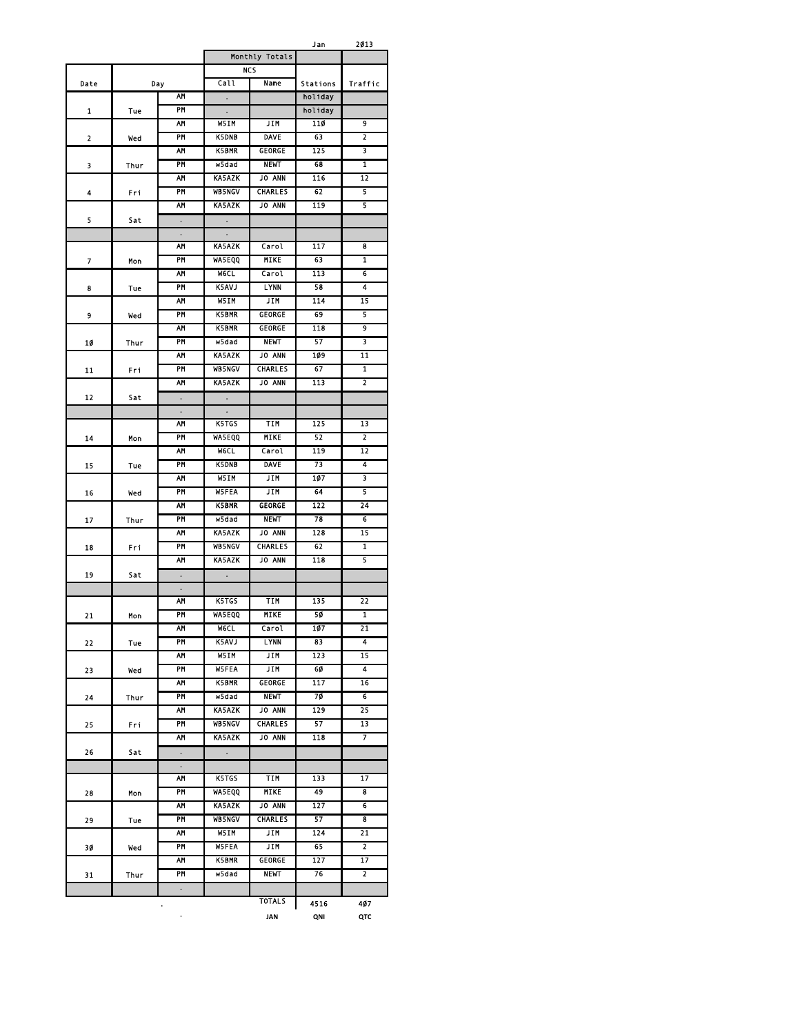Jan 2013

|      |      |                      |                                | Monthly Totals |          |                         |
|------|------|----------------------|--------------------------------|----------------|----------|-------------------------|
|      |      |                      |                                | <b>NCS</b>     |          |                         |
| Date |      | Day                  | Call                           | Name           | Stations | Traffic                 |
|      |      | <b>AM</b>            |                                |                | holiday  |                         |
| 1    | Tue  | PM                   |                                |                | holiday  |                         |
|      |      | AΜ                   | W5IM                           | JIM            | 110      | 9                       |
| 2    | wed  | PM                   | <b>K5DNB</b>                   | DAVE           | 63       | 2                       |
|      |      | <b>AM</b>            | <b>K5BMR</b>                   | <b>GEORGE</b>  | 125      | $\overline{\mathbf{3}}$ |
| 3    | Thur | PM                   | w5dad                          | <b>NEWT</b>    | 68       | 1                       |
|      |      | <b>AM</b>            | <b>KA5AZK</b>                  | <b>JO ANN</b>  | 116      | $\overline{12}$         |
| 4    | Fri  | PM                   | <b>WB5NGV</b>                  | <b>CHARLES</b> | 62       | 5                       |
|      |      | AΜ                   | <b>KA5AZK</b>                  | <b>JO ANN</b>  | 119      | 5                       |
| 5    | Sat  | $\bullet$            |                                |                |          |                         |
|      |      | $\bullet$            |                                |                |          |                         |
|      |      | AM                   | <b>KA5AZK</b>                  | Carol          | 117      | 8                       |
| 7    | Mon  | PM                   | <b>WASEQQ</b>                  | <b>MIKE</b>    | 63       | 1                       |
|      |      | AM                   | <b>WGCL</b>                    | Carol          | 113      | 6                       |
| 8    | Tue  | PM                   | <b>K5AVJ</b>                   | <b>LYNN</b>    | 58       | 4                       |
|      |      | AΜ                   | W5IM                           | JIM            | 114      | 15                      |
| 9    | wed  | PM                   | <b>K5BMR</b>                   | <b>GEORGE</b>  | 69       | 5                       |
|      |      | <b>AM</b>            | <b>K5BMR</b>                   | GEORGE         | 118      | 9                       |
| 10   | Thur | PM                   | w5dad                          | <b>NEWT</b>    | 57       | 3                       |
|      |      | <b>AM</b>            | <b>KA5AZK</b>                  | <b>JO ANN</b>  | 109      | $\overline{11}$         |
| 11   | Fri  | PM                   | <b>WB5NGV</b>                  | <b>CHARLES</b> | 67       | 1                       |
|      |      | АМ                   | <b>KA5AZK</b>                  | <b>JO ANN</b>  | 113      | 2                       |
| 12   | Sat  | $\ddot{\phantom{0}}$ | $\ddot{\phantom{0}}$           |                |          |                         |
|      |      | $\bullet$            |                                |                |          |                         |
|      |      | AM                   | <b>K5TGS</b>                   | <b>TIM</b>     | 125      | 13                      |
| 14   | Mon  | <b>PM</b>            | <b>WASEQQ</b>                  | <b>MIKE</b>    | 52       | $\overline{2}$          |
|      |      | AΜ                   | <b>MCCL</b>                    | Carol          | 119      | 12                      |
| 15   | Tue  | PM                   | <b>K5DNB</b>                   | <b>DAVE</b>    | 73       | 4                       |
|      |      | AΜ                   | W5IM                           | <b>JIM</b>     | 107      | 3                       |
| 16   | Wed  | PM                   | <b>W5FEA</b>                   | <b>JIM</b>     | 64       | 5                       |
|      |      | AM                   | <b>K5BMR</b>                   | <b>GEORGE</b>  | 122      | 24                      |
| 17   | Thur | PM                   | w5dad                          | <b>NEWT</b>    | 78       | $6\overline{6}$         |
|      |      | AΜ                   | <b>KA5AZK</b>                  | <b>JO ANN</b>  | 128      | 15                      |
| 18   | Fri  | PM                   | <b>WB5NGV</b>                  | <b>CHARLES</b> | 62       | 1                       |
|      |      | AΜ                   | <b>KA5AZK</b>                  | <b>JO ANN</b>  | 118      | 5                       |
| 19   | Sat  | ٠                    | $\bullet$                      |                |          |                         |
|      |      | $\ddot{\phantom{0}}$ |                                |                |          |                         |
|      |      | ۸M                   | <b>K5TGS</b>                   | TIM            | 135      | 22                      |
| 21   | Mon  | PM                   | <b>WA5EQQ</b>                  | MIKE           | 50       | 1                       |
|      |      | AΜ                   | <b>MeCL</b>                    | Carol          | 107      | 21                      |
| 22   | Tue  | PM                   | <b>K5AVJ</b>                   | LYNN           | 83       | 4                       |
|      |      | AΜ                   | W5IM                           | JIM            | 123      | 15                      |
| 23   | wed  | PM                   | <b>W5FEA</b>                   | <b>JIM</b>     | 60       | $\overline{\mathbf{A}}$ |
|      |      | AΜ                   | <b>K5BMR</b>                   | GEORGE         | 117      | 16                      |
| 24   | Thur | PM                   | w5dad                          | <b>NEWT</b>    | 70       | 6                       |
|      |      | ۸M<br>PM             | KA5AZK<br><b>WB5NGV</b>        | JO ANN         | 129      | 25<br>13                |
| 25   | Fri. |                      | <b>KA5AZK</b>                  | CHARLES        | 57       | $\overline{\mathbf{r}}$ |
|      |      | AM                   |                                | JO ANN         | 118      |                         |
| 26   | Sat  | $\bullet$            | $\ddot{\phantom{0}}$           |                |          |                         |
|      |      | $\bullet$<br>AΜ      |                                | <b>TIM</b>     | 133      | 17                      |
|      |      | PM                   | K5TGS                          | MIKE           | 49       | 8                       |
| 28   | Mon  | AΜ                   | <b>WA5EQQ</b><br><b>KA5AZK</b> | JO ANN         | 127      | 6                       |
|      |      | PM                   | <b>WB5NGV</b>                  | <b>CHARLES</b> | 57       | 8                       |
| 29   | Tue  | <b>AM</b>            | W51M                           | <b>JIM</b>     | 124      | 21                      |
|      |      | PM                   | <b>W5FFA</b>                   | JIM            | 65       | $\overline{2}$          |
| 30   | wed  | AΜ                   | <b>K5BMR</b>                   | GEORGE         | 127      | 17                      |
|      |      | PM                   | w5dad                          | <b>NEWT</b>    | 76       | $\overline{2}$          |
| 31   | Thur |                      |                                |                |          |                         |
|      |      | $\bullet$            |                                | TOTALS         |          |                         |
|      |      |                      |                                |                | 4516     | 407                     |
|      |      | ۰                    |                                | JAN            | QNI      | QTC                     |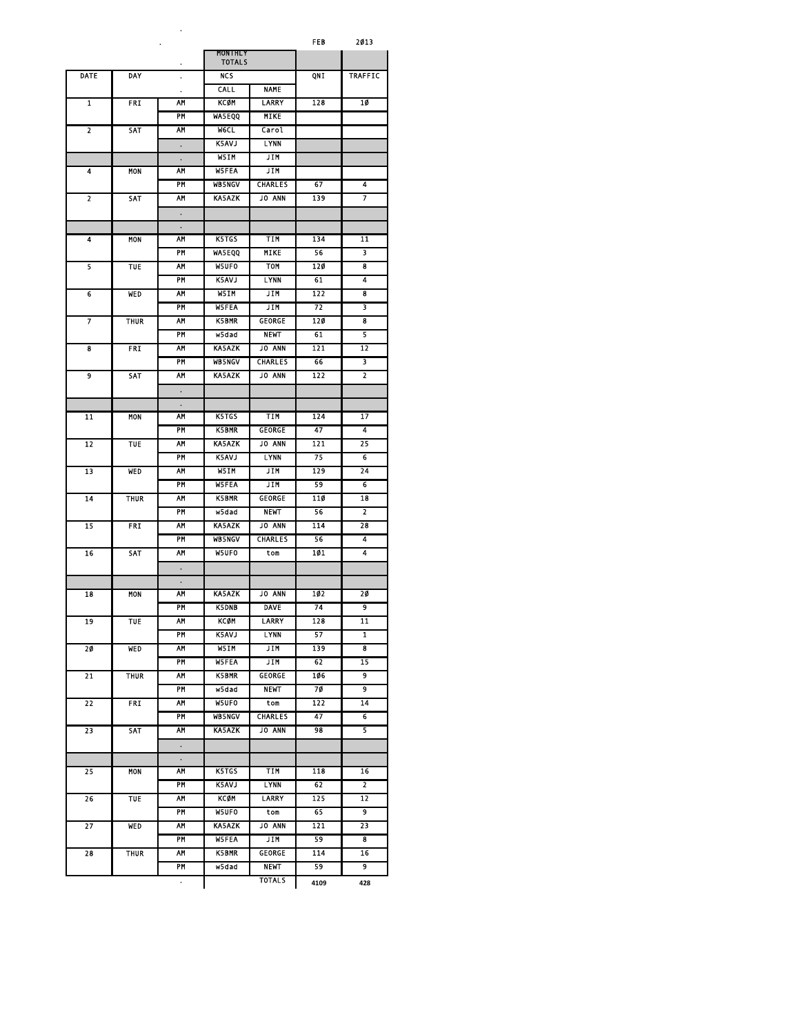**.** FEB 2013

|      |             |           | MONTHLY<br><b>TOTALS</b> |                    |           |                         |
|------|-------------|-----------|--------------------------|--------------------|-----------|-------------------------|
| DATE | <b>DAY</b>  |           | <b>NCS</b>               |                    | QNI       | <b>TRAFFIC</b>          |
|      |             | ٠         | CALL                     | <b>NAME</b>        |           |                         |
| 1    | <b>FRI</b>  | AM        | KCØM                     | LARRY              | 128       | 10                      |
|      |             | PM        | <b>WASEQQ</b>            | MIKE               |           |                         |
| 2    | SAT         | ۸М        | <b>WGCL</b>              | Carol              |           |                         |
|      |             | ٠         | <b>K5AVJ</b>             | <b>LYNN</b>        |           |                         |
|      |             | ٠         | W51M                     | JIM                |           |                         |
| 4    | MON         | AΜ        | <b>W5FEA</b>             | JIM                |           |                         |
|      |             | PM        | <b>WB5NGV</b>            | CHARLES            | 67        | 4                       |
| 2    | SAT         | AΜ        | <b>KA5AZK</b>            | <b>JO ANN</b>      | 139       | 7                       |
|      |             | $\bullet$ |                          |                    |           |                         |
|      |             | $\bullet$ |                          |                    |           |                         |
| 4    | <b>MON</b>  | AΜ        | K5TGS                    | TIM                | 134       | 11                      |
|      |             | PM        | <b>WASEQQ</b>            | <b>MIKE</b>        | 56        | 3                       |
| 5    | TUE         | AM        | W5UF0                    | <b>TOM</b>         | 120       | 8                       |
|      |             | PM        | K5AVJ                    | LYNN               | 61        | 4                       |
| 6    | WED         | AM        | W5IM                     | JIM                | 122       | 8                       |
|      |             | PM        | <b>W5FEA</b>             | JIM                | 72        | 3                       |
| 7    | THUR        | AΜ        | <b>K5BMR</b>             | <b>GEORGE</b>      | 120       | 8                       |
|      |             | PM        | w5dad                    | <b>NEWT</b>        | 61        | 5                       |
| 8    | <b>FRI</b>  | AΜ        | <b>KA5AZK</b>            | <b>JO ANN</b>      | 121       | 12                      |
|      |             | PM        | <b>WB5NGV</b>            | <b>CHARLES</b>     | 66        | 3                       |
| 9    | SAT         | AΜ        | <b>KA5AZK</b>            | <b>JO ANN</b>      | 122       | $\overline{2}$          |
|      |             | $\bullet$ |                          |                    |           |                         |
|      |             | ٠         |                          |                    |           |                         |
| 11   | <b>MON</b>  | AΜ        | K5TGS                    | TIM                | 124       | 17                      |
|      |             | PM        | <b>K5BMR</b>             | GEORGE             | 47        | 4                       |
| 12   | <b>TUE</b>  | AM<br>PM  | <b>KA5AZK</b>            | <b>JO ANN</b>      | 121       | 25                      |
|      |             | AΜ        | <b>K5AVJ</b>             | <b>LYNN</b><br>JIM | 75<br>129 | 6<br>24                 |
| 13   | WED         | PM        | W5IM<br><b>W5FEA</b>     | JIM                | 59        | 6                       |
| 14   | THUR        | AΜ        | <b>K5BMR</b>             | <b>GEORGE</b>      | 110       | 18                      |
|      |             | PM        | w5dad                    | <b>NEWT</b>        | 56        | $\overline{2}$          |
| 15   | FRI         | <b>AM</b> | <b>KA5AZK</b>            | <b>JO ANN</b>      | 114       | 28                      |
|      |             | PM        | <b>WB5NGV</b>            | <b>CHARLES</b>     | 56        | 4                       |
| 16   | SAT         | ۸M        | W5UF0                    | tom                | 101       | 4                       |
|      |             | ٠         |                          |                    |           |                         |
|      |             | ٠         |                          |                    |           |                         |
| 18   | <b>MON</b>  | AM        | <b>KA5AZK</b>            | <b>JO ANN</b>      | 102       | 20                      |
|      |             | PM        | <b>K5DNB</b>             | <b>DAVE</b>        | 74        | 9                       |
| 19   | <b>TUE</b>  | AM        | <b>KCØM</b>              | LARRY              | 128       | 11                      |
|      |             | PM        | K5AVJ                    | <b>LYNN</b>        | 57        | 1                       |
| 20   | <b>WED</b>  | АМ        | W5IM                     | JIM                | 139       | 8                       |
|      |             | PM        | <b>W5FEA</b>             | JIM                | 62        | 15                      |
| 21   | THUR        | AΜ        | <b>K5BMR</b>             | <b>GEORGE</b>      | 106       | 9                       |
|      |             | PM        | w5dad                    | <b>NEWT</b>        | 7Ø        | $\overline{\mathbf{g}}$ |
| 22   | FRI         | AΜ        | W5UFO                    | tom                | 122       | 14                      |
|      |             | PM        | <b>WB5NGV</b>            | <b>CHARLES</b>     | 47        | 6                       |
| 23   | SAT         | AΜ        | KA5AZK                   | <b>JO ANN</b>      | 98        | 5.                      |
|      |             | ٠         |                          |                    |           |                         |
|      |             | $\bullet$ |                          |                    |           |                         |
| 25   | MON         | AΜ        | <b>K5TGS</b>             | <b>TIM</b>         | 118       | 16                      |
|      |             | PM        | K5AVJ                    | <b>LYNN</b>        | 62        | $\overline{2}$          |
| 26   | <b>TUE</b>  | AΜ        | KCØM                     | LARRY              | 125       | $\overline{12}$         |
|      |             | PM        | <b>W5UFO</b>             | tom                | 65        | 9                       |
| 27   | <b>WED</b>  | <b>AM</b> | <b>KA5AZK</b>            | <b>JO ANN</b>      | 121       | 23                      |
|      |             | PM        | <b>W5FEA</b>             | JIM                | 59        | 8                       |
| 28   | <b>THUR</b> | AM        | <b>K5BMR</b>             | <b>GEORGE</b>      | 114       | 16                      |
|      |             | PM        | w5dad                    | <b>NEWT</b>        | 59        | 9                       |
|      |             | ٠         |                          | <b>TOTALS</b>      | 4109      | 428                     |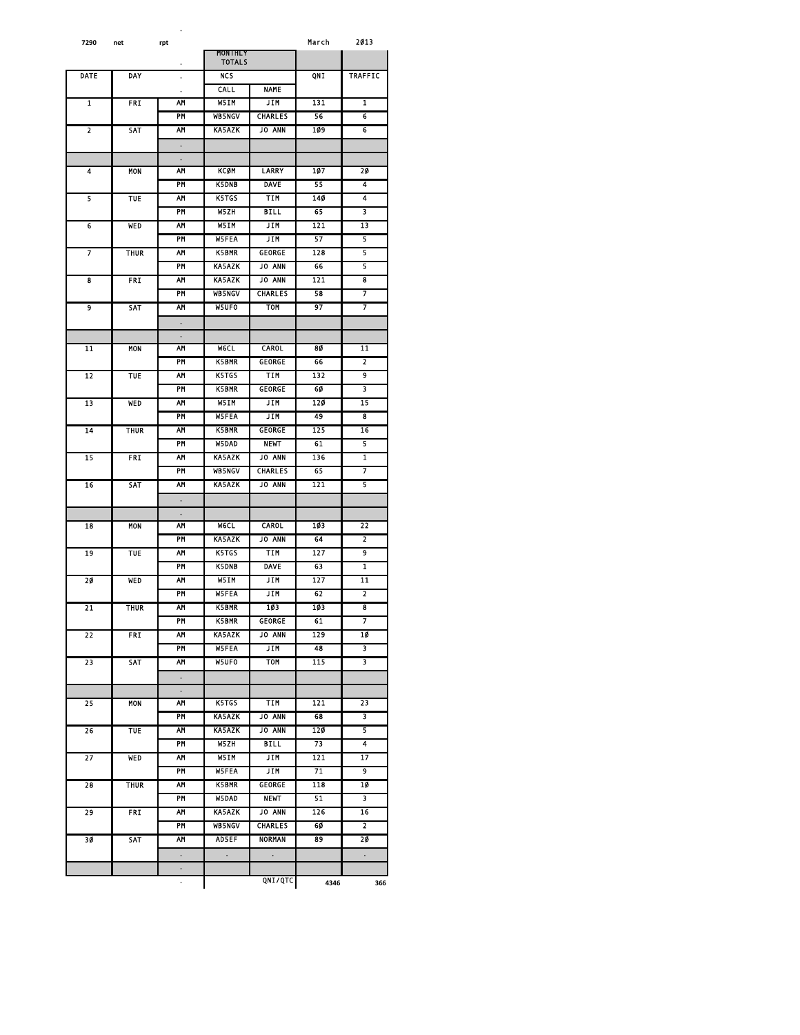| 7290 | net         | rpt                  |                                 |                | March | 2013            |
|------|-------------|----------------------|---------------------------------|----------------|-------|-----------------|
|      |             |                      | <b>MONTHLY</b><br><b>TOTALS</b> |                |       |                 |
| DATE | <b>DAY</b>  |                      | <b>NCS</b>                      |                | ONT   |                 |
|      |             | $\ddot{\phantom{0}}$ |                                 |                |       | <b>TRAFFIC</b>  |
|      |             | $\bullet$            | CALL                            | <b>NAME</b>    |       |                 |
| 1    | FRI         | AM                   | W5IM                            | <b>JIM</b>     | 131   | 1               |
|      |             | PM                   | <b>WB5NGV</b>                   | <b>CHARLES</b> | 56    | 6               |
| 2    | SAT         | AΜ                   | <b>KA5AZK</b>                   | <b>JO ANN</b>  | 109   | 6               |
|      |             | $\bullet$            |                                 |                |       |                 |
|      |             | ٠                    |                                 |                |       |                 |
| 4    | <b>MON</b>  | <b>AM</b>            | <b>KCØM</b>                     | <b>LARRY</b>   | 107   | 20              |
|      |             | PM                   | <b>K5DNB</b>                    | <b>DAVE</b>    | 55    | 4               |
| 5    | TUE         | AM                   | <b>K5TGS</b>                    | <b>TIM</b>     | 140   | 4               |
|      |             | PM                   | W5ZH                            | BILL           | 65    | 3               |
| 6    | WED         | AM                   | W5IM                            | JIM            | 121   | 13              |
|      |             | PM                   | <b>WSFEA</b>                    | JIM            | 57    | 5               |
| 7    | <b>THUR</b> | AM                   | <b>K5BMR</b>                    | GEORGE         | 128   | 5               |
|      |             | PM                   | <b>KA5AZK</b>                   | <b>JO ANN</b>  | 66    | 5               |
| 8    | <b>FRI</b>  | AM                   | <b>KA5AZK</b>                   | <b>JO ANN</b>  | 121   | 8               |
|      |             | PM                   | <b>WB5NGV</b>                   | <b>CHARLES</b> | 58    | 7               |
|      |             |                      |                                 |                |       |                 |
| 9    | SAT         | ۸M                   | <b>W5UFO</b>                    | TOM            | 97    | 7               |
|      |             |                      |                                 |                |       |                 |
|      |             | ٠                    |                                 |                |       |                 |
| 11   | MON         | AΜ                   | <b>WGCL</b>                     | <b>CAROL</b>   | 80    | $\overline{11}$ |
|      |             | PM                   | <b>K5BMR</b>                    | GEORGE         | 66    | $\overline{2}$  |
| 12   | <b>TUE</b>  | AM                   | K5TGS                           | TIM            | 132   | 9               |
|      |             | PM                   | <b>K5BMR</b>                    | GEORGE         | 60    | 3               |
| 13   | WED         | AΜ                   | W5IM                            | JIM            | 120   | 15              |
|      |             | PM                   | <b>W5FEA</b>                    | JIM            | 49    | 8               |
| 14   | <b>THUR</b> | <b>AM</b>            | <b>K5BMR</b>                    | <b>GEORGE</b>  | 125   | 16              |
|      |             | PM                   | W5DAD                           | <b>NEWT</b>    | 61    | 5               |
| 15   | FRI         | AΜ                   | <b>KA5AZK</b>                   | <b>JO ANN</b>  | 136   | 1               |
|      |             | PM                   | <b>WB5NGV</b>                   | <b>CHARLES</b> | 65    | 7               |
| 16   | SAT         | AΜ                   | <b>KA5AZK</b>                   | JO ANN         | 121   | 5               |
|      |             |                      |                                 |                |       |                 |
|      |             | $\bullet$            |                                 |                |       |                 |
| 18   | MON         | $\bullet$<br>AΜ      | <b>WGCL</b>                     | <b>CAROL</b>   | 103   | 22              |
|      |             | PM                   |                                 |                | 64    | $\overline{2}$  |
|      |             |                      | <b>KA5AZK</b>                   | <b>JO ANN</b>  |       |                 |
| 19   | TUE         | АМ                   | K5TGS                           | TIM            | 127   | 9               |
|      |             | PM                   | <b>K5DNB</b>                    | <b>DAVE</b>    | 63    | 1               |
| 20   | WED         | AΜ                   | W51M                            | JIM            | 127   | 11              |
|      |             | PM                   | <b>W5FEA</b>                    | JIM            | 62    | $\overline{2}$  |
| 21   | <b>THUR</b> | AΜ                   | <b>K5BMR</b>                    | 103            | 103   | 8               |
|      |             | PM                   | <b>K5BMR</b>                    | <b>GEORGE</b>  | 61    | 7               |
| 22   | FRI         | AΜ                   | <b>KA5AZK</b>                   | <b>JO ANN</b>  | 129   | 10              |
|      |             | PM                   | <b>W5FEA</b>                    | JIM            | 48    | 3               |
| 23   | <b>SAT</b>  | AΜ                   | W5UFO                           | TOM            | 115   | 3               |
|      |             | $\bullet$            |                                 |                |       |                 |
|      |             | $\bullet$            |                                 |                |       |                 |
| 25   | MON         | AΜ                   | K5TGS                           | <b>TIM</b>     | 121   | 23              |
|      |             | PM                   | KA5AZK                          | <b>JO ANN</b>  | 68    | 3               |
| 26   | TUE         | AΜ                   | <b>KA5AZK</b>                   | <b>JO ANN</b>  | 120   | 5               |
|      |             | PM                   | W5ZH                            | <b>BILL</b>    | 73    | 4               |
| 27   | <b>WED</b>  | AΜ                   | W51M                            | JIM            | 121   | 17              |
|      |             | PM                   | <b>W5FFA</b>                    | JIM            | 71    | 9               |
|      |             | <b>AM</b>            | <b>K5BMR</b>                    | <b>GEORGE</b>  | 118   | 10              |
| 28   | <b>THUR</b> |                      |                                 |                |       |                 |
|      |             | <b>PM</b>            | W5DAD                           | <b>NEWT</b>    | 51    | 3               |
| 29   | FRI         | ۸M                   | KA5AZK                          | JO ANN         | 126   | 16              |
|      |             | PM                   | <b>WB5NGV</b>                   | CHARLES        | 60    | 2               |
| 30   | SAT         | AΜ                   | <b>AD5EF</b>                    | NORMAN         | 89    | 20              |
|      |             | $\bullet$            | $\bullet$                       | $\bullet$      |       | $\bullet$       |
|      |             | $\bullet$            |                                 |                |       |                 |
|      |             | $\ddot{\phantom{0}}$ |                                 | QNI/QTC        | 4346  | 366             |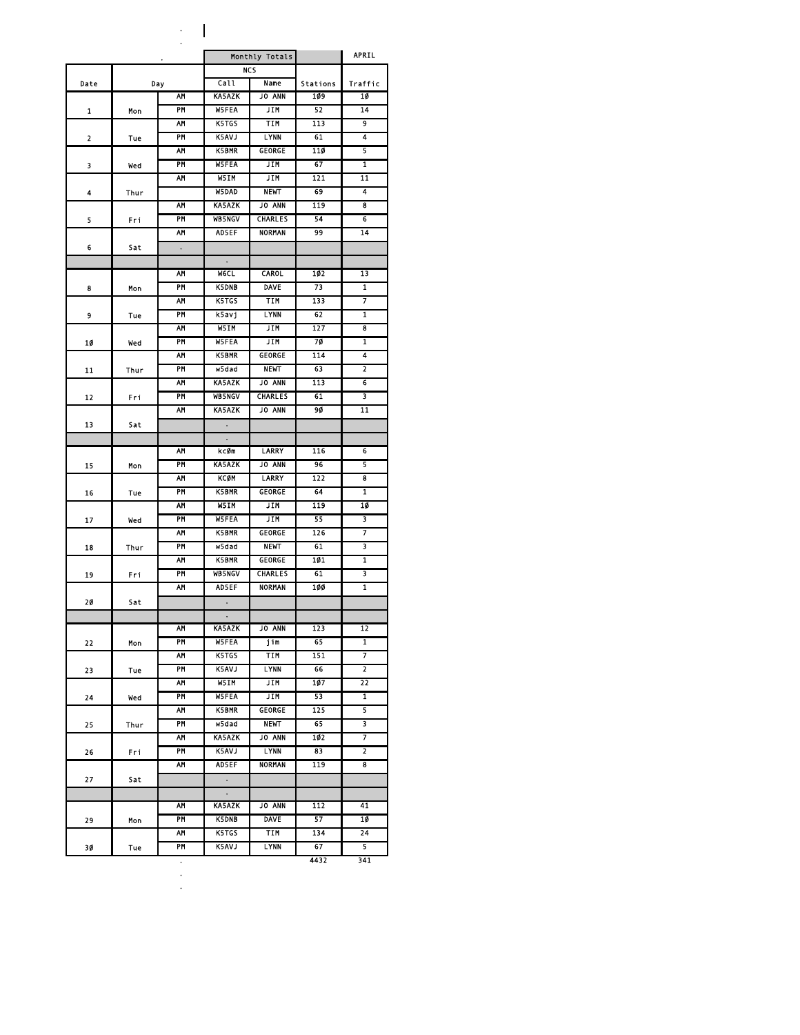. .

| <b>NCS</b><br>Call<br>Name<br>Stations<br>Date<br>Day<br>AM<br><b>KA5AZK</b><br><b>JO ANN</b><br>109<br>10<br><b>W5FEA</b><br>PM<br>JIM<br>52<br>14<br>1<br>Mon<br>9<br><b>K5TGS</b><br>TIM<br>113<br>АМ<br><b>K5AVJ</b><br>4<br>PM<br><b>LYNN</b><br>61<br>2<br>Tue<br>5<br><b>K5BMR</b><br>AΜ<br><b>GEORGE</b><br>110<br>PM<br>67<br>$\overline{\mathbf{1}}$<br>W5FEA<br><b>JIM</b><br>3<br>wed<br>AΜ<br>W5IM<br>JIM<br>121<br>11<br>W5DAD<br><b>NEWT</b><br>69<br>4<br>4<br>Thur<br><b>KA5AZK</b><br>119<br>8<br>۸М<br>JO ANN<br>PM<br><b>WB5NGV</b><br><b>CHARLES</b><br>54<br>6<br>5<br>Fri<br>99<br>АМ<br><b>AD5EF</b><br><b>NORMAN</b><br>14<br>Sat<br>6<br>$\bullet$<br>$\bullet$<br>۸М<br><b>WGCL</b><br><b>CAROL</b><br>102<br>13<br><b>DAVE</b><br>1<br>PM<br><b>K5DNB</b><br>73<br>8<br>Mon<br>7<br>K5TGS<br>TIM<br>133<br>АМ<br>PM<br><b>LYNN</b><br>62<br>1<br>ksavj<br>9<br>Tue<br>127<br>AM<br>W5TM<br><b>JIM</b><br>8<br>7Ø<br>PM<br><b>W5FEA</b><br>JIM<br>1<br>10<br>Wed<br>4<br>АМ<br>K5BMR<br><b>GEORGE</b><br>114<br>PM<br>w5dad<br><b>NEWT</b><br>63<br>2<br>11<br>Thur<br><b>KA5AZK</b><br>АМ<br><b>JO ANN</b><br>113<br>6<br><b>CHARLES</b><br>PM<br><b>WB5NGV</b><br>61<br>3<br>12<br>Fri<br>AΜ<br><b>KA5AZK</b><br><b>JO ANN</b><br>90<br>$\overline{11}$<br>13<br>Sat<br>۸М<br><b>LARRY</b><br>116<br>kcØm<br>6<br>5<br>PM<br><b>KA5AZK</b><br><b>JO ANN</b><br>96<br>15<br>Mon<br><b>KCØM</b><br>122<br>8<br>AΜ<br>LARRY<br>PM<br><b>K5BMR</b><br>64<br>GEORGE<br>1<br>16<br>Tue<br>AΜ<br>W5IM<br><b>JIM</b><br>119<br>10<br>3<br>PM<br><b>W5FEA</b><br><b>JIM</b><br>55<br>17<br>Wed<br>7<br>AM<br><b>K5BMR</b><br><b>GEORGE</b><br>126<br>PM<br><b>NEWT</b><br>3<br>wsdad<br>61<br>18<br>Thur<br>1<br>AΜ<br><b>K5BMR</b><br>101<br><b>GEORGE</b><br>PM<br>61<br>3<br><b>WB5NGV</b><br><b>CHARLES</b><br>19<br>Fri<br><b>AM</b><br><b>NORMAN</b><br>$\overline{\mathbf{1}}$<br><b>ADSEF</b><br>100<br>20<br>$\ddot{\phantom{1}}$<br>Sat<br><b>KA5AZK</b><br>AΜ<br><b>JO ANN</b><br>123<br>12<br>1<br>PM<br><b>W5FEA</b><br>jim<br>65<br>22<br>Mon<br>K5TGS<br>TIM<br>151<br>7<br>AΜ<br>$\overline{2}$<br>PM<br>K5AVJ<br><b>LYNN</b><br>66<br>23<br>Tue<br>22<br><b>AM</b><br>W5IM<br>JIM<br>107 | ٠ |  | Monthly Totals | <b>APRIL</b> |         |
|-------------------------------------------------------------------------------------------------------------------------------------------------------------------------------------------------------------------------------------------------------------------------------------------------------------------------------------------------------------------------------------------------------------------------------------------------------------------------------------------------------------------------------------------------------------------------------------------------------------------------------------------------------------------------------------------------------------------------------------------------------------------------------------------------------------------------------------------------------------------------------------------------------------------------------------------------------------------------------------------------------------------------------------------------------------------------------------------------------------------------------------------------------------------------------------------------------------------------------------------------------------------------------------------------------------------------------------------------------------------------------------------------------------------------------------------------------------------------------------------------------------------------------------------------------------------------------------------------------------------------------------------------------------------------------------------------------------------------------------------------------------------------------------------------------------------------------------------------------------------------------------------------------------------------------------------------------------------------------------------------------------------------------------------------------------------------------------------------------------------------------------------------------------------------------------------------------------------------------|---|--|----------------|--------------|---------|
|                                                                                                                                                                                                                                                                                                                                                                                                                                                                                                                                                                                                                                                                                                                                                                                                                                                                                                                                                                                                                                                                                                                                                                                                                                                                                                                                                                                                                                                                                                                                                                                                                                                                                                                                                                                                                                                                                                                                                                                                                                                                                                                                                                                                                               |   |  |                |              |         |
|                                                                                                                                                                                                                                                                                                                                                                                                                                                                                                                                                                                                                                                                                                                                                                                                                                                                                                                                                                                                                                                                                                                                                                                                                                                                                                                                                                                                                                                                                                                                                                                                                                                                                                                                                                                                                                                                                                                                                                                                                                                                                                                                                                                                                               |   |  |                |              | Traffic |
|                                                                                                                                                                                                                                                                                                                                                                                                                                                                                                                                                                                                                                                                                                                                                                                                                                                                                                                                                                                                                                                                                                                                                                                                                                                                                                                                                                                                                                                                                                                                                                                                                                                                                                                                                                                                                                                                                                                                                                                                                                                                                                                                                                                                                               |   |  |                |              |         |
|                                                                                                                                                                                                                                                                                                                                                                                                                                                                                                                                                                                                                                                                                                                                                                                                                                                                                                                                                                                                                                                                                                                                                                                                                                                                                                                                                                                                                                                                                                                                                                                                                                                                                                                                                                                                                                                                                                                                                                                                                                                                                                                                                                                                                               |   |  |                |              |         |
|                                                                                                                                                                                                                                                                                                                                                                                                                                                                                                                                                                                                                                                                                                                                                                                                                                                                                                                                                                                                                                                                                                                                                                                                                                                                                                                                                                                                                                                                                                                                                                                                                                                                                                                                                                                                                                                                                                                                                                                                                                                                                                                                                                                                                               |   |  |                |              |         |
|                                                                                                                                                                                                                                                                                                                                                                                                                                                                                                                                                                                                                                                                                                                                                                                                                                                                                                                                                                                                                                                                                                                                                                                                                                                                                                                                                                                                                                                                                                                                                                                                                                                                                                                                                                                                                                                                                                                                                                                                                                                                                                                                                                                                                               |   |  |                |              |         |
|                                                                                                                                                                                                                                                                                                                                                                                                                                                                                                                                                                                                                                                                                                                                                                                                                                                                                                                                                                                                                                                                                                                                                                                                                                                                                                                                                                                                                                                                                                                                                                                                                                                                                                                                                                                                                                                                                                                                                                                                                                                                                                                                                                                                                               |   |  |                |              |         |
|                                                                                                                                                                                                                                                                                                                                                                                                                                                                                                                                                                                                                                                                                                                                                                                                                                                                                                                                                                                                                                                                                                                                                                                                                                                                                                                                                                                                                                                                                                                                                                                                                                                                                                                                                                                                                                                                                                                                                                                                                                                                                                                                                                                                                               |   |  |                |              |         |
|                                                                                                                                                                                                                                                                                                                                                                                                                                                                                                                                                                                                                                                                                                                                                                                                                                                                                                                                                                                                                                                                                                                                                                                                                                                                                                                                                                                                                                                                                                                                                                                                                                                                                                                                                                                                                                                                                                                                                                                                                                                                                                                                                                                                                               |   |  |                |              |         |
|                                                                                                                                                                                                                                                                                                                                                                                                                                                                                                                                                                                                                                                                                                                                                                                                                                                                                                                                                                                                                                                                                                                                                                                                                                                                                                                                                                                                                                                                                                                                                                                                                                                                                                                                                                                                                                                                                                                                                                                                                                                                                                                                                                                                                               |   |  |                |              |         |
|                                                                                                                                                                                                                                                                                                                                                                                                                                                                                                                                                                                                                                                                                                                                                                                                                                                                                                                                                                                                                                                                                                                                                                                                                                                                                                                                                                                                                                                                                                                                                                                                                                                                                                                                                                                                                                                                                                                                                                                                                                                                                                                                                                                                                               |   |  |                |              |         |
|                                                                                                                                                                                                                                                                                                                                                                                                                                                                                                                                                                                                                                                                                                                                                                                                                                                                                                                                                                                                                                                                                                                                                                                                                                                                                                                                                                                                                                                                                                                                                                                                                                                                                                                                                                                                                                                                                                                                                                                                                                                                                                                                                                                                                               |   |  |                |              |         |
|                                                                                                                                                                                                                                                                                                                                                                                                                                                                                                                                                                                                                                                                                                                                                                                                                                                                                                                                                                                                                                                                                                                                                                                                                                                                                                                                                                                                                                                                                                                                                                                                                                                                                                                                                                                                                                                                                                                                                                                                                                                                                                                                                                                                                               |   |  |                |              |         |
|                                                                                                                                                                                                                                                                                                                                                                                                                                                                                                                                                                                                                                                                                                                                                                                                                                                                                                                                                                                                                                                                                                                                                                                                                                                                                                                                                                                                                                                                                                                                                                                                                                                                                                                                                                                                                                                                                                                                                                                                                                                                                                                                                                                                                               |   |  |                |              |         |
|                                                                                                                                                                                                                                                                                                                                                                                                                                                                                                                                                                                                                                                                                                                                                                                                                                                                                                                                                                                                                                                                                                                                                                                                                                                                                                                                                                                                                                                                                                                                                                                                                                                                                                                                                                                                                                                                                                                                                                                                                                                                                                                                                                                                                               |   |  |                |              |         |
|                                                                                                                                                                                                                                                                                                                                                                                                                                                                                                                                                                                                                                                                                                                                                                                                                                                                                                                                                                                                                                                                                                                                                                                                                                                                                                                                                                                                                                                                                                                                                                                                                                                                                                                                                                                                                                                                                                                                                                                                                                                                                                                                                                                                                               |   |  |                |              |         |
|                                                                                                                                                                                                                                                                                                                                                                                                                                                                                                                                                                                                                                                                                                                                                                                                                                                                                                                                                                                                                                                                                                                                                                                                                                                                                                                                                                                                                                                                                                                                                                                                                                                                                                                                                                                                                                                                                                                                                                                                                                                                                                                                                                                                                               |   |  |                |              |         |
|                                                                                                                                                                                                                                                                                                                                                                                                                                                                                                                                                                                                                                                                                                                                                                                                                                                                                                                                                                                                                                                                                                                                                                                                                                                                                                                                                                                                                                                                                                                                                                                                                                                                                                                                                                                                                                                                                                                                                                                                                                                                                                                                                                                                                               |   |  |                |              |         |
|                                                                                                                                                                                                                                                                                                                                                                                                                                                                                                                                                                                                                                                                                                                                                                                                                                                                                                                                                                                                                                                                                                                                                                                                                                                                                                                                                                                                                                                                                                                                                                                                                                                                                                                                                                                                                                                                                                                                                                                                                                                                                                                                                                                                                               |   |  |                |              |         |
|                                                                                                                                                                                                                                                                                                                                                                                                                                                                                                                                                                                                                                                                                                                                                                                                                                                                                                                                                                                                                                                                                                                                                                                                                                                                                                                                                                                                                                                                                                                                                                                                                                                                                                                                                                                                                                                                                                                                                                                                                                                                                                                                                                                                                               |   |  |                |              |         |
|                                                                                                                                                                                                                                                                                                                                                                                                                                                                                                                                                                                                                                                                                                                                                                                                                                                                                                                                                                                                                                                                                                                                                                                                                                                                                                                                                                                                                                                                                                                                                                                                                                                                                                                                                                                                                                                                                                                                                                                                                                                                                                                                                                                                                               |   |  |                |              |         |
|                                                                                                                                                                                                                                                                                                                                                                                                                                                                                                                                                                                                                                                                                                                                                                                                                                                                                                                                                                                                                                                                                                                                                                                                                                                                                                                                                                                                                                                                                                                                                                                                                                                                                                                                                                                                                                                                                                                                                                                                                                                                                                                                                                                                                               |   |  |                |              |         |
|                                                                                                                                                                                                                                                                                                                                                                                                                                                                                                                                                                                                                                                                                                                                                                                                                                                                                                                                                                                                                                                                                                                                                                                                                                                                                                                                                                                                                                                                                                                                                                                                                                                                                                                                                                                                                                                                                                                                                                                                                                                                                                                                                                                                                               |   |  |                |              |         |
|                                                                                                                                                                                                                                                                                                                                                                                                                                                                                                                                                                                                                                                                                                                                                                                                                                                                                                                                                                                                                                                                                                                                                                                                                                                                                                                                                                                                                                                                                                                                                                                                                                                                                                                                                                                                                                                                                                                                                                                                                                                                                                                                                                                                                               |   |  |                |              |         |
|                                                                                                                                                                                                                                                                                                                                                                                                                                                                                                                                                                                                                                                                                                                                                                                                                                                                                                                                                                                                                                                                                                                                                                                                                                                                                                                                                                                                                                                                                                                                                                                                                                                                                                                                                                                                                                                                                                                                                                                                                                                                                                                                                                                                                               |   |  |                |              |         |
|                                                                                                                                                                                                                                                                                                                                                                                                                                                                                                                                                                                                                                                                                                                                                                                                                                                                                                                                                                                                                                                                                                                                                                                                                                                                                                                                                                                                                                                                                                                                                                                                                                                                                                                                                                                                                                                                                                                                                                                                                                                                                                                                                                                                                               |   |  |                |              |         |
|                                                                                                                                                                                                                                                                                                                                                                                                                                                                                                                                                                                                                                                                                                                                                                                                                                                                                                                                                                                                                                                                                                                                                                                                                                                                                                                                                                                                                                                                                                                                                                                                                                                                                                                                                                                                                                                                                                                                                                                                                                                                                                                                                                                                                               |   |  |                |              |         |
|                                                                                                                                                                                                                                                                                                                                                                                                                                                                                                                                                                                                                                                                                                                                                                                                                                                                                                                                                                                                                                                                                                                                                                                                                                                                                                                                                                                                                                                                                                                                                                                                                                                                                                                                                                                                                                                                                                                                                                                                                                                                                                                                                                                                                               |   |  |                |              |         |
|                                                                                                                                                                                                                                                                                                                                                                                                                                                                                                                                                                                                                                                                                                                                                                                                                                                                                                                                                                                                                                                                                                                                                                                                                                                                                                                                                                                                                                                                                                                                                                                                                                                                                                                                                                                                                                                                                                                                                                                                                                                                                                                                                                                                                               |   |  |                |              |         |
|                                                                                                                                                                                                                                                                                                                                                                                                                                                                                                                                                                                                                                                                                                                                                                                                                                                                                                                                                                                                                                                                                                                                                                                                                                                                                                                                                                                                                                                                                                                                                                                                                                                                                                                                                                                                                                                                                                                                                                                                                                                                                                                                                                                                                               |   |  |                |              |         |
|                                                                                                                                                                                                                                                                                                                                                                                                                                                                                                                                                                                                                                                                                                                                                                                                                                                                                                                                                                                                                                                                                                                                                                                                                                                                                                                                                                                                                                                                                                                                                                                                                                                                                                                                                                                                                                                                                                                                                                                                                                                                                                                                                                                                                               |   |  |                |              |         |
|                                                                                                                                                                                                                                                                                                                                                                                                                                                                                                                                                                                                                                                                                                                                                                                                                                                                                                                                                                                                                                                                                                                                                                                                                                                                                                                                                                                                                                                                                                                                                                                                                                                                                                                                                                                                                                                                                                                                                                                                                                                                                                                                                                                                                               |   |  |                |              |         |
|                                                                                                                                                                                                                                                                                                                                                                                                                                                                                                                                                                                                                                                                                                                                                                                                                                                                                                                                                                                                                                                                                                                                                                                                                                                                                                                                                                                                                                                                                                                                                                                                                                                                                                                                                                                                                                                                                                                                                                                                                                                                                                                                                                                                                               |   |  |                |              |         |
|                                                                                                                                                                                                                                                                                                                                                                                                                                                                                                                                                                                                                                                                                                                                                                                                                                                                                                                                                                                                                                                                                                                                                                                                                                                                                                                                                                                                                                                                                                                                                                                                                                                                                                                                                                                                                                                                                                                                                                                                                                                                                                                                                                                                                               |   |  |                |              |         |
|                                                                                                                                                                                                                                                                                                                                                                                                                                                                                                                                                                                                                                                                                                                                                                                                                                                                                                                                                                                                                                                                                                                                                                                                                                                                                                                                                                                                                                                                                                                                                                                                                                                                                                                                                                                                                                                                                                                                                                                                                                                                                                                                                                                                                               |   |  |                |              |         |
|                                                                                                                                                                                                                                                                                                                                                                                                                                                                                                                                                                                                                                                                                                                                                                                                                                                                                                                                                                                                                                                                                                                                                                                                                                                                                                                                                                                                                                                                                                                                                                                                                                                                                                                                                                                                                                                                                                                                                                                                                                                                                                                                                                                                                               |   |  |                |              |         |
|                                                                                                                                                                                                                                                                                                                                                                                                                                                                                                                                                                                                                                                                                                                                                                                                                                                                                                                                                                                                                                                                                                                                                                                                                                                                                                                                                                                                                                                                                                                                                                                                                                                                                                                                                                                                                                                                                                                                                                                                                                                                                                                                                                                                                               |   |  |                |              |         |
|                                                                                                                                                                                                                                                                                                                                                                                                                                                                                                                                                                                                                                                                                                                                                                                                                                                                                                                                                                                                                                                                                                                                                                                                                                                                                                                                                                                                                                                                                                                                                                                                                                                                                                                                                                                                                                                                                                                                                                                                                                                                                                                                                                                                                               |   |  |                |              |         |
|                                                                                                                                                                                                                                                                                                                                                                                                                                                                                                                                                                                                                                                                                                                                                                                                                                                                                                                                                                                                                                                                                                                                                                                                                                                                                                                                                                                                                                                                                                                                                                                                                                                                                                                                                                                                                                                                                                                                                                                                                                                                                                                                                                                                                               |   |  |                |              |         |
|                                                                                                                                                                                                                                                                                                                                                                                                                                                                                                                                                                                                                                                                                                                                                                                                                                                                                                                                                                                                                                                                                                                                                                                                                                                                                                                                                                                                                                                                                                                                                                                                                                                                                                                                                                                                                                                                                                                                                                                                                                                                                                                                                                                                                               |   |  |                |              |         |
|                                                                                                                                                                                                                                                                                                                                                                                                                                                                                                                                                                                                                                                                                                                                                                                                                                                                                                                                                                                                                                                                                                                                                                                                                                                                                                                                                                                                                                                                                                                                                                                                                                                                                                                                                                                                                                                                                                                                                                                                                                                                                                                                                                                                                               |   |  |                |              |         |
|                                                                                                                                                                                                                                                                                                                                                                                                                                                                                                                                                                                                                                                                                                                                                                                                                                                                                                                                                                                                                                                                                                                                                                                                                                                                                                                                                                                                                                                                                                                                                                                                                                                                                                                                                                                                                                                                                                                                                                                                                                                                                                                                                                                                                               |   |  |                |              |         |
|                                                                                                                                                                                                                                                                                                                                                                                                                                                                                                                                                                                                                                                                                                                                                                                                                                                                                                                                                                                                                                                                                                                                                                                                                                                                                                                                                                                                                                                                                                                                                                                                                                                                                                                                                                                                                                                                                                                                                                                                                                                                                                                                                                                                                               |   |  |                |              |         |
|                                                                                                                                                                                                                                                                                                                                                                                                                                                                                                                                                                                                                                                                                                                                                                                                                                                                                                                                                                                                                                                                                                                                                                                                                                                                                                                                                                                                                                                                                                                                                                                                                                                                                                                                                                                                                                                                                                                                                                                                                                                                                                                                                                                                                               |   |  |                |              |         |
|                                                                                                                                                                                                                                                                                                                                                                                                                                                                                                                                                                                                                                                                                                                                                                                                                                                                                                                                                                                                                                                                                                                                                                                                                                                                                                                                                                                                                                                                                                                                                                                                                                                                                                                                                                                                                                                                                                                                                                                                                                                                                                                                                                                                                               |   |  |                |              |         |
|                                                                                                                                                                                                                                                                                                                                                                                                                                                                                                                                                                                                                                                                                                                                                                                                                                                                                                                                                                                                                                                                                                                                                                                                                                                                                                                                                                                                                                                                                                                                                                                                                                                                                                                                                                                                                                                                                                                                                                                                                                                                                                                                                                                                                               |   |  |                |              |         |
| PM<br><b>W5FEA</b><br>JIM<br>53<br>1<br>24<br>wed                                                                                                                                                                                                                                                                                                                                                                                                                                                                                                                                                                                                                                                                                                                                                                                                                                                                                                                                                                                                                                                                                                                                                                                                                                                                                                                                                                                                                                                                                                                                                                                                                                                                                                                                                                                                                                                                                                                                                                                                                                                                                                                                                                             |   |  |                |              |         |
| ۸М<br>K5BMR<br>GEORGE<br>125<br>5                                                                                                                                                                                                                                                                                                                                                                                                                                                                                                                                                                                                                                                                                                                                                                                                                                                                                                                                                                                                                                                                                                                                                                                                                                                                                                                                                                                                                                                                                                                                                                                                                                                                                                                                                                                                                                                                                                                                                                                                                                                                                                                                                                                             |   |  |                |              |         |
| 3<br>PM<br>wsdad<br><b>NEWT</b><br>65<br>25<br>Thur                                                                                                                                                                                                                                                                                                                                                                                                                                                                                                                                                                                                                                                                                                                                                                                                                                                                                                                                                                                                                                                                                                                                                                                                                                                                                                                                                                                                                                                                                                                                                                                                                                                                                                                                                                                                                                                                                                                                                                                                                                                                                                                                                                           |   |  |                |              |         |
| <b>KA5AZK</b><br>JO ANN<br>102<br>7<br>AΜ                                                                                                                                                                                                                                                                                                                                                                                                                                                                                                                                                                                                                                                                                                                                                                                                                                                                                                                                                                                                                                                                                                                                                                                                                                                                                                                                                                                                                                                                                                                                                                                                                                                                                                                                                                                                                                                                                                                                                                                                                                                                                                                                                                                     |   |  |                |              |         |
| PM<br><b>K5AVJ</b><br><b>LYNN</b><br>83<br>$\overline{2}$<br>26<br>Fri<br><b>NORMAN</b>                                                                                                                                                                                                                                                                                                                                                                                                                                                                                                                                                                                                                                                                                                                                                                                                                                                                                                                                                                                                                                                                                                                                                                                                                                                                                                                                                                                                                                                                                                                                                                                                                                                                                                                                                                                                                                                                                                                                                                                                                                                                                                                                       |   |  |                |              |         |
| AΜ<br>AD5EF<br>119<br>8                                                                                                                                                                                                                                                                                                                                                                                                                                                                                                                                                                                                                                                                                                                                                                                                                                                                                                                                                                                                                                                                                                                                                                                                                                                                                                                                                                                                                                                                                                                                                                                                                                                                                                                                                                                                                                                                                                                                                                                                                                                                                                                                                                                                       |   |  |                |              |         |
| 27<br>Sat<br>$\bullet$                                                                                                                                                                                                                                                                                                                                                                                                                                                                                                                                                                                                                                                                                                                                                                                                                                                                                                                                                                                                                                                                                                                                                                                                                                                                                                                                                                                                                                                                                                                                                                                                                                                                                                                                                                                                                                                                                                                                                                                                                                                                                                                                                                                                        |   |  |                |              |         |
| $\bullet$                                                                                                                                                                                                                                                                                                                                                                                                                                                                                                                                                                                                                                                                                                                                                                                                                                                                                                                                                                                                                                                                                                                                                                                                                                                                                                                                                                                                                                                                                                                                                                                                                                                                                                                                                                                                                                                                                                                                                                                                                                                                                                                                                                                                                     |   |  |                |              |         |
| АМ<br>KA5AZK<br>JO ANN<br>112<br>41                                                                                                                                                                                                                                                                                                                                                                                                                                                                                                                                                                                                                                                                                                                                                                                                                                                                                                                                                                                                                                                                                                                                                                                                                                                                                                                                                                                                                                                                                                                                                                                                                                                                                                                                                                                                                                                                                                                                                                                                                                                                                                                                                                                           |   |  |                |              |         |
| PM<br><b>K5DNB</b><br>DAVE<br>57<br>10<br>29<br>Mon                                                                                                                                                                                                                                                                                                                                                                                                                                                                                                                                                                                                                                                                                                                                                                                                                                                                                                                                                                                                                                                                                                                                                                                                                                                                                                                                                                                                                                                                                                                                                                                                                                                                                                                                                                                                                                                                                                                                                                                                                                                                                                                                                                           |   |  |                |              |         |
| K5TGS<br><b>TIM</b><br>134<br>АМ<br>24                                                                                                                                                                                                                                                                                                                                                                                                                                                                                                                                                                                                                                                                                                                                                                                                                                                                                                                                                                                                                                                                                                                                                                                                                                                                                                                                                                                                                                                                                                                                                                                                                                                                                                                                                                                                                                                                                                                                                                                                                                                                                                                                                                                        |   |  |                |              |         |
| 67<br>5<br><b>PM</b><br><b>K5AVJ</b><br><b>LYNN</b><br>30<br>Tue<br>4432<br>341<br>$\bullet$                                                                                                                                                                                                                                                                                                                                                                                                                                                                                                                                                                                                                                                                                                                                                                                                                                                                                                                                                                                                                                                                                                                                                                                                                                                                                                                                                                                                                                                                                                                                                                                                                                                                                                                                                                                                                                                                                                                                                                                                                                                                                                                                  |   |  |                |              |         |

. .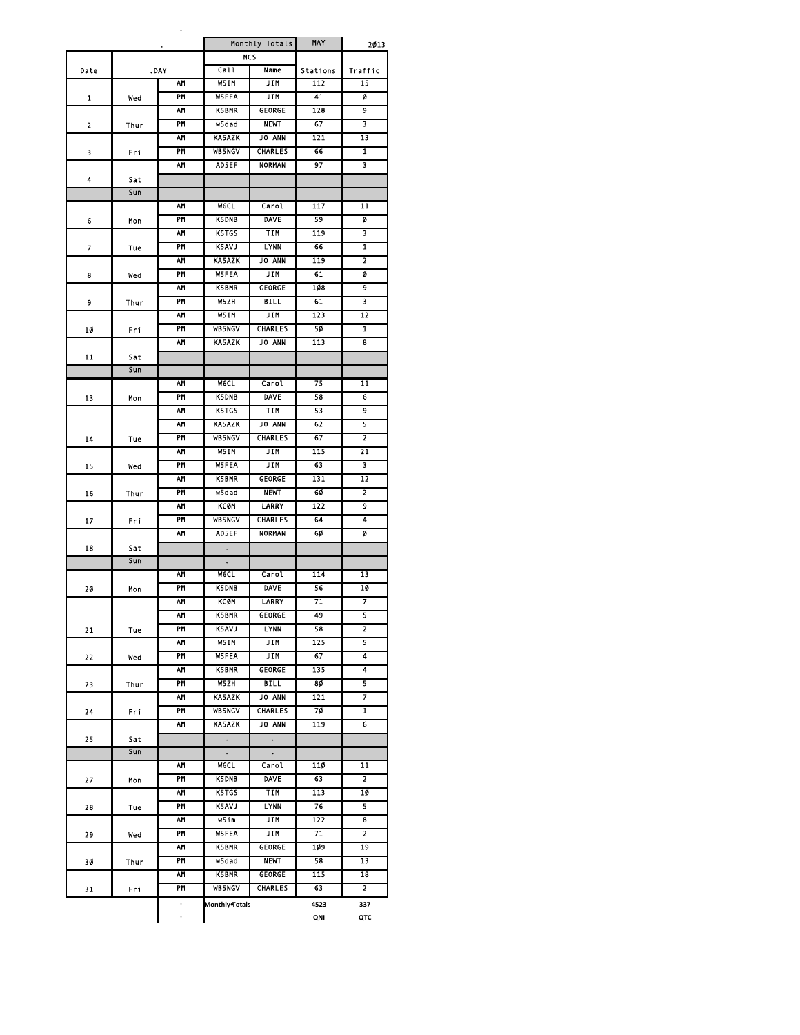|      |      | $\ddot{\phantom{0}}$ |                                        | Monthly Totals | MAY        | 2013                    |
|------|------|----------------------|----------------------------------------|----------------|------------|-------------------------|
|      |      |                      |                                        | NCS            |            |                         |
| Date |      | . DAY                | Call                                   | Name           | Stations   | Traffic                 |
|      |      | <b>AM</b>            | W5IM                                   | JIM            | 112        | 15                      |
| 1    | wed  | PM                   | <b>W5FEA</b>                           | <b>JTM</b>     | 41         | ø                       |
|      |      | <b>AM</b>            | <b>K5BMR</b>                           | GEORGE         | 128        | $\overline{9}$          |
| 2    | Thur | PM                   | w5dad                                  | <b>NEWT</b>    | 67         | 3                       |
|      |      | AΜ                   | <b>KA5AZK</b>                          | <b>JO ANN</b>  | 121        | 13                      |
| 3    | Fri  | PM                   | <b>WB5NGV</b>                          | <b>CHARLES</b> | 66         | 1                       |
|      |      | AM                   | <b>ADSEF</b>                           | <b>NORMAN</b>  | 97         | 3                       |
| 4    | Sat  |                      |                                        |                |            |                         |
|      | Sun  |                      |                                        |                |            |                         |
|      |      | AΜ                   | <b>WGCL</b>                            | Carol          | 117        | 11                      |
| 6    | Mon  | PM                   | <b>K5DNB</b>                           | <b>DAVE</b>    | 59         | ø                       |
|      |      | ۸M                   | <b>K5TGS</b>                           | TIM            | 119        | 3                       |
| 7    | Tue  | PM                   | <b>KSAVJ</b>                           | LYNN           | 66         | 1                       |
|      |      | AΜ                   | <b>KA5AZK</b>                          | <b>JO ANN</b>  | 119        | $\overline{\mathbf{z}}$ |
| 8    | Wed  | <b>PM</b>            | <b>W5FEA</b>                           | <b>JIM</b>     | 61         | Ø                       |
|      |      | <b>AM</b>            | <b>K5BMR</b>                           | <b>GEORGE</b>  | 108        | 9                       |
| 9    |      | PM                   | W5ZH                                   | <b>BILL</b>    | 61         | 3                       |
|      | Thur | AΜ                   | W5IM                                   | JIM            | 123        | 12                      |
|      |      |                      |                                        | <b>CHARLES</b> |            |                         |
| 10   | Fri  | PM                   | <b>WB5NGV</b>                          |                | 50         | 1                       |
|      |      | <b>AM</b>            | <b>KA5AZK</b>                          | JO ANN         | 113        | 8                       |
| 11   | Sat  |                      |                                        |                |            |                         |
|      | Sun  |                      |                                        |                |            |                         |
|      |      | AM                   | <b>WGCL</b>                            | Carol          | 75         | 11                      |
| 13   | Mon  | PM                   | <b>K5DNB</b>                           | <b>DAVE</b>    | 58         | 6                       |
|      |      | AΜ                   | <b>K5TGS</b>                           | TIM            | 53         | 9                       |
|      |      | AΜ                   | <b>KA5AZK</b>                          | <b>JO ANN</b>  | 62         | 5                       |
| 14   | Tue  | PM                   | <b>WB5NGV</b>                          | <b>CHARLES</b> | 67         | $\overline{2}$          |
|      |      | <b>AM</b>            | W5IM                                   | <b>JIM</b>     | 115        | 21                      |
| 15   | wed  | PM                   | <b>W5FEA</b>                           | JIM            | 63         | 3                       |
|      |      | AΜ                   | <b>K5BMR</b>                           | GEORGE         | 131        | 12                      |
| 16   | Thur | PM                   | wsdad                                  | <b>NEWT</b>    | 60         | 2                       |
|      |      | AM                   | KCOM                                   | LARRY          | 122        | 9                       |
| 17   | Fri  | PM                   | <b>WB5NGV</b>                          | CHARLES        | 64         | 4                       |
|      |      | <b>AM</b>            | <b>AD5EF</b>                           | <b>NORMAN</b>  | 60         | ø                       |
| 18   | Sat  |                      | $\ddot{\phantom{1}}$                   |                |            |                         |
|      | Sun  |                      | $\bullet$                              |                |            |                         |
|      |      | АМ                   | <b>MeCL</b>                            | Carol          | 114        | 13                      |
| 20   |      | PM                   | <b>K5DNB</b>                           | <b>DAVE</b>    | 56         | 10                      |
|      | Mon  | AΜ                   | <b>KCØM</b>                            | <b>LARRY</b>   | 71         | 7                       |
|      |      |                      |                                        |                |            |                         |
|      |      | AΜ                   | <b>K5BMR</b>                           | GEORGE         | 49         | 5                       |
| 21   | Tue  | PM                   | <b>K5AVJ</b>                           | <b>LYNN</b>    | 58         | $\overline{2}$          |
|      |      | ۸M                   | W5IM                                   | JIM            | 125        | 5                       |
| 22   | Wed  | PM                   | <b>W5FEA</b>                           | JIM            | 67         | 4                       |
|      |      | AΜ                   | <b>K5BMR</b>                           | <b>GEORGE</b>  | 135        | 4                       |
| 23   | Thur | <b>PM</b>            | W5ZH                                   | <b>BILL</b>    | 80         | 5                       |
|      |      | AM                   | <b>KA5AZK</b>                          | <b>JO ANN</b>  | 121        | 7                       |
| 24   | Fri  | PM                   | <b>WB5NCV</b>                          | <b>CHARLES</b> | 70         | $\mathbf{1}$            |
|      |      | AΜ                   | KA5AZK                                 | JO ANN         | 119        | 6                       |
| 25   | Sat  |                      | $\bullet$                              | $\bullet$      |            |                         |
|      | Sun  |                      | $\bullet$                              | $\bullet$      |            |                         |
|      |      | AΜ                   | <b>WGCL</b>                            | Carol          | 110        | 11                      |
| 27   | Mon  | PM                   | <b>K5DNB</b>                           | <b>DAVE</b>    | 63         | $\overline{2}$          |
|      |      | <b>AM</b>            | K5TGS                                  | <b>TIM</b>     | 113        | 1Ø                      |
| 28   | Tue  | PM                   | K5AVJ                                  | <b>LYNN</b>    | 76         | 5                       |
|      |      | ۸M                   | w5im                                   | JIM            | 122        | 8                       |
| 29   | Wed  | PM                   | <b>WSFEA</b>                           | JIM            | 71         | 2                       |
|      |      | AΜ                   | <b>K5BMR</b>                           | GEORGE         | 109        | 19                      |
|      |      | PM                   | w5dad                                  | <b>NEWT</b>    | 58         | 13                      |
|      |      |                      |                                        |                |            |                         |
| 30   | Thur |                      |                                        |                |            |                         |
|      |      | AΜ                   | <b>K5BMR</b>                           | GEORGE         | 115        | 18                      |
| 31   | Fri  | <b>PM</b>            | <b>WB5NCV</b><br><b>Monthly</b> Totals | <b>CHARLES</b> | 63<br>4523 | $\overline{2}$<br>337   |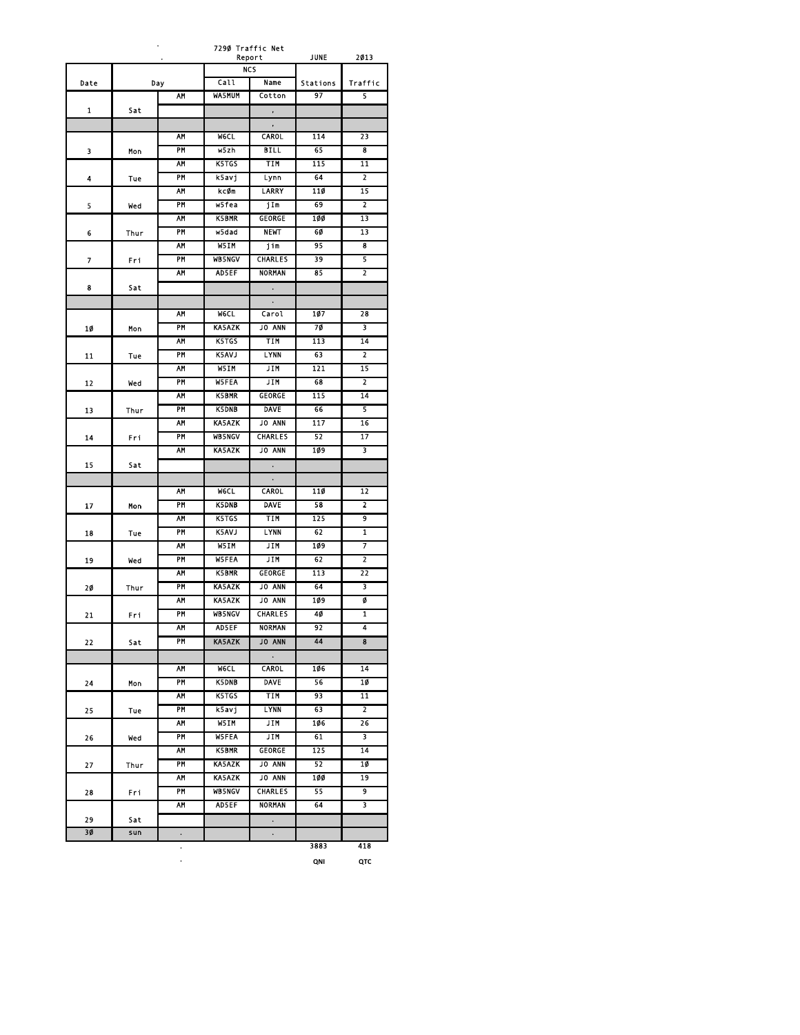| ٠    |            |           | 7290 Traffic Net<br>Report |                | JUNE     | 2013                    |
|------|------------|-----------|----------------------------|----------------|----------|-------------------------|
|      |            |           |                            | <b>NCS</b>     |          |                         |
| Date |            | Day       | Call                       | Name           | Stations | Traffic                 |
|      |            | AΜ        | <b>WA5MUM</b>              | Cotton         | 97       | 5                       |
| 1    | Sat        |           |                            |                |          |                         |
|      |            |           |                            | ,              |          |                         |
|      |            | AM        | <b>WGCL</b>                | <b>CAROL</b>   | 114      | 23                      |
| 3    | Mon        | <b>PM</b> | w5zh                       | <b>BILL</b>    | 65       | 8                       |
|      |            | AΜ        | <b>K5TGS</b>               | TIM            | 115      | 11                      |
| 4    | Tue        | PM        | k5avj                      | Lynn           | 64       | 2                       |
|      |            | AΜ        | kcØm                       | LARRY          | 110      | 15                      |
| 5    | Wed        | PM        | wsfea                      | jIm            | 69       | $\overline{\mathbf{z}}$ |
|      |            | AΜ        | <b>K5BMR</b>               | <b>GEORGE</b>  | 100      | 13                      |
| 6    | Thur       | PM        | w5dad                      | <b>NEWT</b>    | 6Ø       | 13                      |
|      |            | AΜ        | W5IM                       | jim            | 95       | 8                       |
| 7    | Fri        | PM        | <b>WB5NGV</b>              | <b>CHARLES</b> | 39       | 5                       |
|      |            | AΜ        | <b>AD5EF</b>               | NORMAN         | 85       | 2                       |
| 8    | Sat        |           |                            |                |          |                         |
|      |            |           |                            | $\bullet$      |          |                         |
|      |            | <b>AM</b> | <b>WGCL</b>                | Carol          | 107      | 28                      |
|      |            | PM        | <b>KA5AZK</b>              | <b>JO ANN</b>  | 70       | 3                       |
| 10   | Mon        | AΜ        | K5TGS                      | TIM            | 113      | 14                      |
|      |            |           |                            |                |          |                         |
| 11   | Tue        | PM<br>AΜ  | <b>K5AVJ</b>               | LYNN           | 63       | 2                       |
|      |            |           | W5IM                       | JIM            | 121      | 15                      |
| 12   | Wed        | PM        | <b>W5FEA</b>               | JIM            | 68       | $\overline{2}$          |
|      |            | AΜ        | <b>K5BMR</b>               | GEORGE         | 115      | 14                      |
| 13   | Thur       | PM        | <b>K5DNB</b>               | <b>DAVE</b>    | 66       | 5                       |
|      |            | AΜ        | <b>KA5AZK</b>              | JO ANN         | 117      | 16                      |
| 14   | Fri        | PM        | <b>WB5NGV</b>              | <b>CHARLES</b> | 52       | 17                      |
|      |            | AΜ        | <b>KA5AZK</b>              | JO ANN         | 109      | 3                       |
| 15   | Sat        |           |                            |                |          |                         |
|      |            |           |                            |                |          |                         |
|      |            | AM        | <b>WGCL</b>                | <b>CAROL</b>   | 11Ø      | 12                      |
| 17   | Mon        | PM        | <b>K5DNB</b>               | <b>DAVE</b>    | 58       | 2                       |
|      |            | AΜ        | K5TGS                      | TIM            | 125      | 9                       |
| 18   | Tue        | PM        | <b>K5AVJ</b>               | <b>LYNN</b>    | 62       | 1                       |
|      |            | <b>AM</b> | W5IM                       | JIM            | 109      | 7                       |
| 19   | wed        | PM        | <b>W5FEA</b>               | JIM            | 62       | 2                       |
|      |            | AM        | <b>K5BMR</b>               | GEORGE         | 113      | 22                      |
| 20   | Thur       | PM        | <b>KA5AZK</b>              | <b>JO ANN</b>  | 64       | 3                       |
|      |            | ۸М        | <b>KA5AZK</b>              | <b>JO ANN</b>  | 109      | ø                       |
| 21   | Fri        | PM        | <b>WB5NGV</b>              | <b>CHARLES</b> | 40       | 1                       |
|      |            | AM        | <b>AD5EF</b>               | <b>NORMAN</b>  | 92       |                         |
| 22   | Sat        | PM        | <b>KA5AZK</b>              | <b>JO ANN</b>  | 44       | 8                       |
|      |            |           |                            | $\bullet$      |          |                         |
|      |            | AΜ        | <b>WGCL</b>                | <b>CAROL</b>   | 106      | 14                      |
| 24   | Mon        | PM        | <b>K5DNB</b>               | DAVE           | 56       | 10                      |
|      |            | AΜ        | K5TGS                      | TIM            | 93       | 11                      |
| 25   | <b>Tue</b> | PM        | k5avj                      | LYNN           | 63       | 2                       |
|      |            | AΜ        | W5IM                       | JIM            | 106      | 26                      |
| 26   | wed        | PM        | <b>W5FEA</b>               | <b>JIM</b>     | 61       | 3                       |
|      |            | AΜ        | <b>K5BMR</b>               | GEORGE         | 125      | 14                      |
| 27   | Thur       | PM        | <b>KA5AZK</b>              | <b>JO ANN</b>  | 52       | 10                      |
|      |            | AΜ        | <b>KA5AZK</b>              | <b>JO ANN</b>  | 100      | 19                      |
| 28   | Fri        | PM        | <b>WB5NGV</b>              | CHARLES        | 55       | 9                       |
|      |            | <b>AM</b> | <b>AD5EF</b>               | NORMAN         | 64       | 3                       |
| 29   | Sat        |           |                            | $\bullet$      |          |                         |
| 3Ø   | sun        | $\bullet$ |                            | $\bullet$      |          |                         |
|      |            | $\bullet$ |                            |                | 3883     | 418                     |

. **QNI QTC**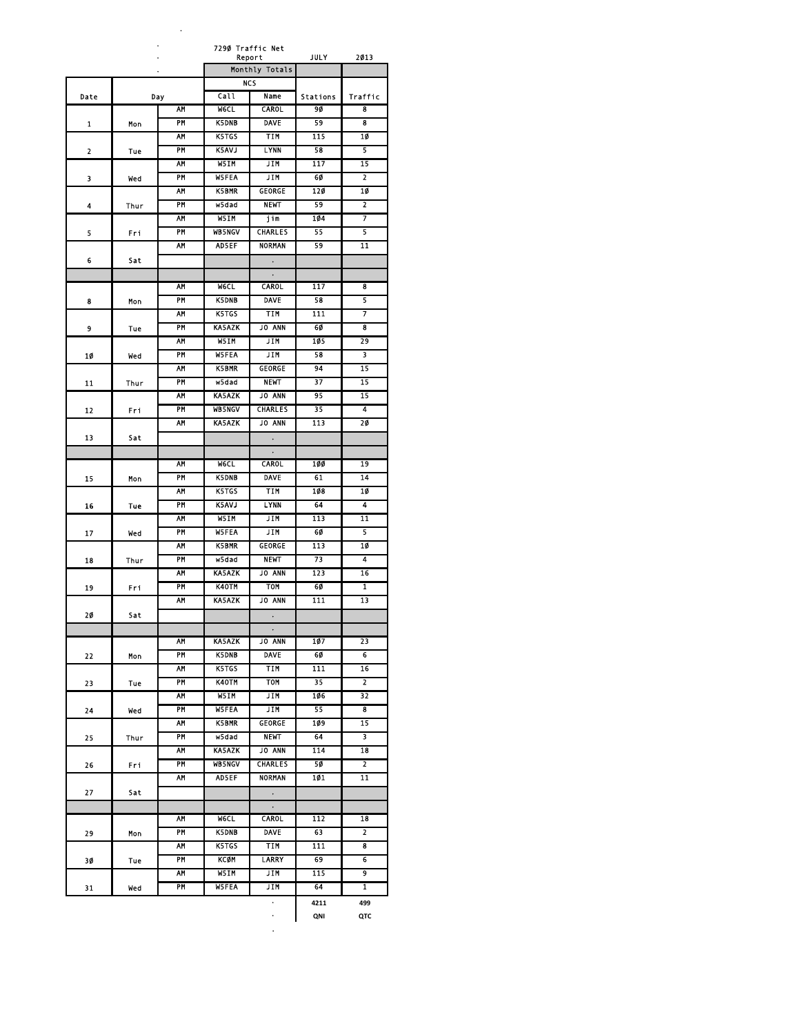|      |      |           | 7290 Traffic Net |                          |                  | 2013                    |
|------|------|-----------|------------------|--------------------------|------------------|-------------------------|
|      |      |           |                  | Report<br>Monthly Totals | JULY             |                         |
|      |      |           |                  | NCS                      |                  |                         |
| Date |      | Day       | Call             | Name                     | <b>Stations</b>  | Traffic                 |
|      |      | AΜ        | <b>WGCL</b>      | CAROL                    | 90               | 8                       |
| 1    | Mon  | <b>PM</b> | <b>K5DNB</b>     | <b>DAVE</b>              | 59               | $\overline{\mathbf{8}}$ |
|      |      | AM        | K5TGS            | TIM                      | 115              | 10                      |
| 2    | Tue  | PM        | <b>K5AVJ</b>     | <b>LYNN</b>              | 58               | $\overline{\mathbf{5}}$ |
|      |      | ۸М        | W5IM             | JIM                      | 117              | 15                      |
| 3    | Wed  | PM        | <b>W5FEA</b>     | JIM                      | 60               | $\overline{2}$          |
|      |      | AΜ        | <b>K5BMR</b>     | GEORGE                   | 120              | 10                      |
| 4    | Thur | PM        | wsdad            | <b>NEWT</b>              | 59               | $\overline{2}$          |
|      |      | AΜ        | W5TM             | jim                      | 104              | 7                       |
| 5    | Fri  | <b>PM</b> | <b>WB5NGV</b>    | <b>CHARLES</b>           | 55               | 5                       |
|      |      | AΜ        | AD5EF            | NORMAN                   | 59               | 11                      |
| 6    | Sat  |           |                  | $\bullet$                |                  |                         |
|      |      |           |                  |                          |                  |                         |
|      |      | AΜ        | WGC L            | CAROL                    | 117              | 8                       |
| 8    | Mon  | PM        | <b>K5DNB</b>     | <b>DAVE</b>              | 58               | 5                       |
|      |      | <b>AM</b> | <b>K5TGS</b>     | <b>TIM</b>               | 111              | 7                       |
| 9    | Tue  | PM        | <b>KA5AZK</b>    | <b>JO ANN</b>            | 60               | 8                       |
|      |      | АМ        | W5IM             | JIM                      | 105              | 29                      |
| 10   | Wed  | PM        | <b>W5FEA</b>     | JIM                      | 58               | 3                       |
|      |      | AM        | <b>K5BMR</b>     | <b>GEORGE</b>            | 94               | 15                      |
| 11   | Thur | PM        | w5dad            | <b>NEWT</b>              | 37               | 15                      |
|      |      | AΜ        | <b>KA5AZK</b>    | JO ANN                   | 95               | 15                      |
| 12   | Fri  | PM        | <b>WB5NCV</b>    | <b>CHARLES</b>           | 35               | $\overline{4}$          |
|      |      | AΜ        | <b>KA5AZK</b>    | <b>JO ANN</b>            | 113              | 20                      |
| 13   | Sat  |           |                  | $\ddot{\phantom{0}}$     |                  |                         |
|      |      |           |                  | $\ddot{\phantom{0}}$     |                  |                         |
|      |      | <b>AM</b> | <b>WGCL</b>      | CAROL                    | 100              | 19                      |
| 15   | Mon  | <b>PM</b> | <b>K5DNB</b>     | <b>DAVE</b>              | 61               | 14                      |
|      |      | AΜ        | K5TGS            | <b>TIM</b>               | 108              | 1Ø                      |
| 16   | Tue  | PM        | <b>K5AVJ</b>     | LYNN                     | 64               | 4                       |
|      |      | AΜ        | W5IM             | JIM                      | 113              | 11                      |
| 17   | Wed  | PM        | <b>WSFEA</b>     | JIM                      | 60               | 5                       |
|      |      | AΜ        | <b>K5BMR</b>     | GEORGE                   | 113              | 10                      |
| 18   | Thur | PM        | w5dad            | <b>NEWT</b>              | 73               | 4                       |
|      |      | <b>AM</b> | <b>KA5AZK</b>    | <b>JO ANN</b>            | 123              | 16                      |
| 19   | Fri  | PM        | K40TM            | TOM                      | 60               | $\mathbf{1}$            |
|      |      | ۸М        | <b>KA5AZK</b>    | <b>JO ANN</b>            | 111              | 13                      |
| 20   | Sat  |           |                  | $\bullet$                |                  |                         |
|      |      |           |                  | $\bullet$                |                  |                         |
|      |      | АМ        | KA5AZK           | JO ANN                   | 107              | 23                      |
| 22   | Mon  | PM        | <b>K5DNB</b>     | <b>DAVE</b>              | 60               | 6                       |
|      |      | AΜ        | K5TGS            | TIM                      | 111              | 16                      |
| 23   | Tue  | PM        | K40TM            | TOM                      | 35               | $\mathbf{2}$            |
|      |      | АМ        | W51M             | JIM                      | 106              | 32                      |
| 24   | Wed  | PM        | <b>W5FEA</b>     | JIM                      | 55               | 8                       |
|      |      | ĀΜ        | K5BMR            | GEORGE                   | 109              | $\overline{15}$         |
| 25   | Thur | PM        | w5dad            | <b>NEWT</b>              | 64               | $\overline{\mathbf{3}}$ |
|      |      | AΜ        | KA5AZK           | <b>JO ANN</b>            | $\overline{114}$ | 18                      |
| 26   | Fri  | PM        | <b>WB5NGV</b>    | <b>CHARLES</b>           | 50               | 2                       |
|      |      | АМ        | <b>AD5EF</b>     | NORMAN                   | 101              | 11                      |
| 27   | Sat  |           |                  |                          |                  |                         |
|      |      |           |                  | $\bullet$                |                  |                         |
|      |      | AΜ        | WGCL.            | <b>CAROL</b>             | 112              | 18                      |
| 29   | Mon  | PM        | <b>K5DNB</b>     | <b>DAVE</b>              | 63               | $\overline{2}$          |
|      |      | AΜ        | K5TGS            | TIM                      | 111              | 8                       |
| 30   | Tue  | PM        | KCØM             | LARRY                    | 69               | 6                       |
|      |      | AΜ        | W5IM             | JIM                      | 115              | 9                       |
| 31   | Wed  | PM        | W5FEA            | JIM                      | 64               | $\mathbf{1}$            |
|      |      |           |                  | $\bullet$                | 4211             | 499                     |
|      |      |           |                  | ٠                        | QNI              | QTC                     |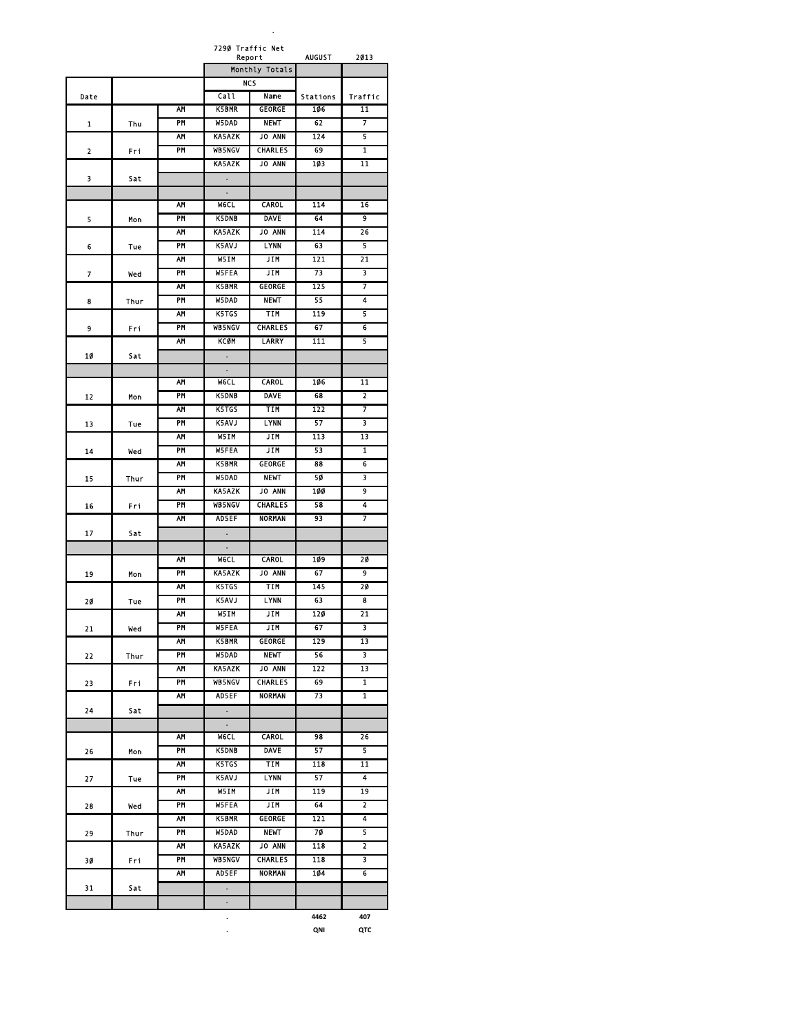|      |      |           | 7290 Traffic Net     | Report         | <b>AUGUST</b>   | 2013                    |
|------|------|-----------|----------------------|----------------|-----------------|-------------------------|
|      |      |           |                      | Monthly Totals |                 |                         |
|      |      |           |                      | NCS            |                 |                         |
| Date |      |           | Call                 | Name           | <b>Stations</b> | Traffic                 |
|      |      | AΜ        | <b>K5BMR</b>         | <b>GEORGE</b>  | 106             | 11                      |
| 1    | Thu  | PM        | <b>W5DAD</b>         | <b>NEWT</b>    | 62              | $\overline{\tau}$       |
|      |      | <b>AM</b> | <b>KA5AZK</b>        | <b>JO ANN</b>  | 124             | 5                       |
| 2    | Fri  | <b>PM</b> | <b>WB5NCV</b>        | <b>CHARLES</b> | 69              | $\overline{1}$          |
|      |      |           | <b>KA5AZK</b>        | <b>JO ANN</b>  | 103             | 11                      |
| 3    | Sat  |           | $\bullet$            |                |                 |                         |
|      |      |           |                      |                |                 |                         |
|      |      | AΜ        | WGC L                | <b>CAROL</b>   | 114             | 16                      |
| 5    | Mon  | PM        | <b>K5DNB</b>         | <b>DAVE</b>    | 64              | 9                       |
|      |      | AM        | <b>KA5AZK</b>        | <b>JO ANN</b>  | 114             | 26                      |
| 6    | Tue  | <b>PM</b> | K5AVJ                | <b>LYNN</b>    | 63              | 5                       |
|      |      | AΜ        | W5IM                 | JIM            | 121             | 21                      |
| 7    | Wed  | PM        | <b>WSFEA</b>         | JIM            | 73              | 3                       |
|      |      | AΜ        | <b>K5BMR</b>         | <b>GEORGE</b>  | 125             | 7                       |
| 8    | Thur | PM        | <b>W5DAD</b>         | <b>NEWT</b>    | 55              | 4                       |
|      |      | AM        | K5TGS                | <b>TIM</b>     | 119             | 5                       |
| 9    | Fri  | PM        | <b>WB5NGV</b>        | <b>CHARLES</b> | 67              | 6                       |
|      |      | AΜ        | KCQN                 | <b>LARRY</b>   | 111             | 5                       |
| 10   | Sat  |           | ٠                    |                |                 |                         |
|      |      | <b>AM</b> | <b>WGCI</b>          | <b>CAROL</b>   | 106             | $\overline{11}$         |
|      |      | PM        | <b>K5DNB</b>         | <b>DAVE</b>    | 68              | $\overline{\mathbf{z}}$ |
| 12   | Mon  | <b>AM</b> | K5TGS                | <b>TIM</b>     | 122             | 7                       |
|      |      | PM        | <b>K5AVJ</b>         | <b>LYNN</b>    | 57              | 3                       |
| 13   | Tue  | AΜ        | W5IM                 | JIM            | 113             | 13                      |
|      |      | PM        | <b>WSFEA</b>         | JIM            | 53              | ī                       |
| 14   | Wed  | AΜ        | <b>K5BMR</b>         | GEORGE         | 88              | 6                       |
| 15   | Thur | PM        | W5DAD                | <b>NEWT</b>    | 50              | 3                       |
|      |      | AΜ        | <b>KA5AZK</b>        | <b>JO ANN</b>  | 100             | 9                       |
| 16   | Fri  | PM        | <b>WB5NGV</b>        | <b>CHARLES</b> | 58              | 4                       |
|      |      | AΜ        | <b>AD5EF</b>         | <b>NORMAN</b>  | 93              | 7                       |
| 17   | Sat  |           | $\ddot{\phantom{0}}$ |                |                 |                         |
|      |      |           | $\bullet$            |                |                 |                         |
|      |      | <b>AM</b> | <b>WGCI</b>          | <b>CAROL</b>   | 109             | 20                      |
| 19   | Mon  | <b>PM</b> | <b>KA5AZK</b>        | JO ANN         | 67              | 9                       |
|      |      | AΜ        | K5TGS                | TIM            | 145             | 20                      |
| 20   | Tue  | PM        | <b>K5AVJ</b>         | <b>LYNN</b>    | 63              | 8                       |
|      |      | AΜ        | W5IM                 | JIM            | 120             | 21                      |
| 21   | Wed  | PM        | <b>WSFEA</b>         | <b>JIM</b>     | 67              | 3                       |
|      |      | <b>AH</b> | <b>K5BMR</b>         | GEORGE         | 129             | 13                      |
| 22   | Thur | PM        | W5DAD                | <b>NEWT</b>    | 56              | 3                       |
|      |      | AΜ        | <b>KA5AZK</b>        | <b>JO ANN</b>  | 122             | $\overline{13}$         |
| 23   | Fri  | PM        | <b>WB5NGV</b>        | <b>CHARLES</b> | 69              | 1                       |
|      |      | АМ        | AD5EF                | NORMAN         | 73              | 1                       |
| 24   | Sat  |           | $\bullet$            |                |                 |                         |
|      |      |           | $\bullet$            |                |                 |                         |
|      |      | <b>AM</b> | <b>WGCL</b>          | <b>CAROL</b>   | 98              | $\overline{26}$         |
| 26   | Mon  | PM        | <b>K5DNB</b>         | <b>DAVE</b>    | 57              | 5                       |
|      |      | ۸М        | K5TGS                | TIM            | 118             | $\overline{11}$         |
| 27   | Tue  | PM        | <b>K5AVJ</b>         | <b>LYNN</b>    | 57              | 4                       |
|      |      | AΜ        | W51M                 | JIM            | 119             | 19                      |
| 28   | Wed  | PM        | <b>W5FEA</b>         | <b>JIM</b>     | 64              | $\overline{2}$          |
|      |      | AΜ        | <b>K5BMR</b>         | GEORGE         | 121             | 4                       |
| 29   | Thur | PM        | W5DAD                | <b>NEWT</b>    | 70              | 5                       |
|      |      | AΜ        | KA5AZK               | <b>JO ANN</b>  | 118             | 2                       |
| 30   | Fri  | PM        | <b>WB5NGV</b>        | <b>CHARLES</b> | 118<br>104      | 3<br>6                  |
|      |      | АМ        | <b>AD5EF</b>         | NORMAN         |                 |                         |
| 31   | Sat  |           |                      |                |                 |                         |
|      |      |           | $\bullet$            |                | 4462            | 407                     |
|      |      |           | $\ddot{\phantom{0}}$ |                |                 |                         |

**. QNI QTC**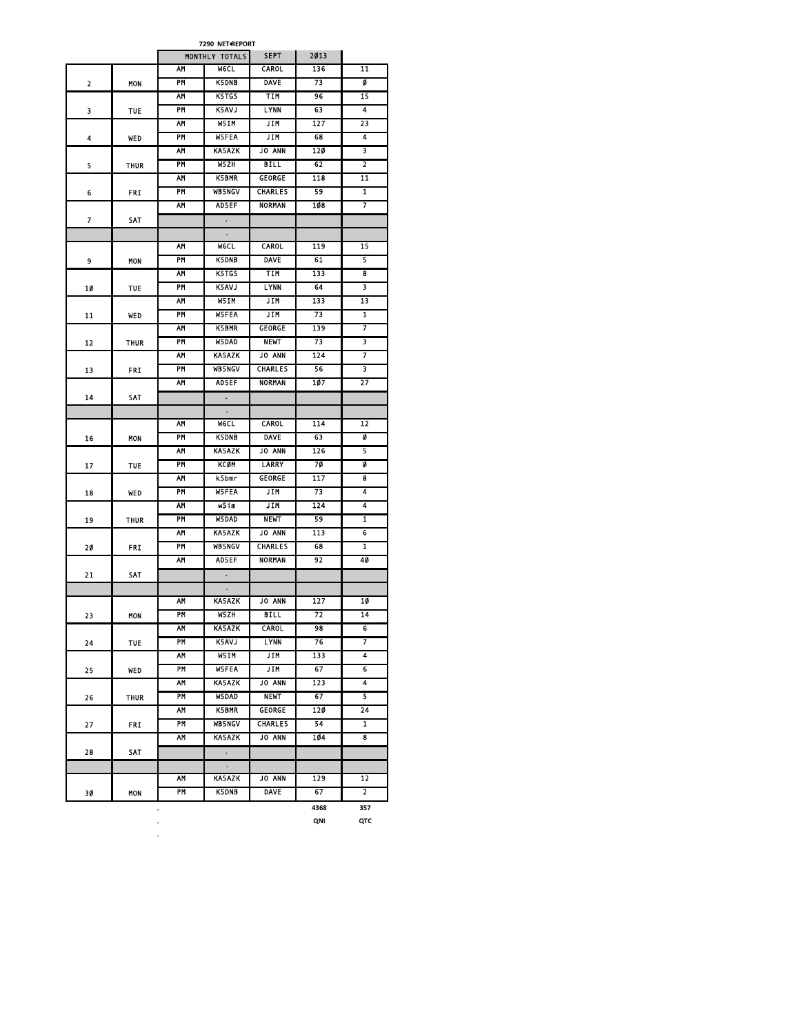| 7290 NET REPORT |            |           |                |                |      |                         |  |  |
|-----------------|------------|-----------|----------------|----------------|------|-------------------------|--|--|
|                 |            |           | MONTHLY TOTALS | <b>SEPT</b>    | 2013 |                         |  |  |
|                 |            | АМ        | <b>WGCL</b>    | <b>CAROL</b>   | 136  | $\overline{11}$         |  |  |
| 2               | MON        | PM        | <b>K5DNB</b>   | <b>DAVE</b>    | 73   | ø                       |  |  |
|                 |            | AΜ        | <b>K5TGS</b>   | TIM            | 96   | 15                      |  |  |
| 3               | <b>TUE</b> | PM        | <b>K5AVJ</b>   | LYNN           | 63   | 4                       |  |  |
|                 |            | АМ        | W5IM           | JIM            | 127  | 23                      |  |  |
| 4               | WED        | PM        | <b>WSFEA</b>   | JIM            | 68   | 4                       |  |  |
|                 |            | AΜ        | <b>KA5AZK</b>  | <b>JO ANN</b>  | 120  | 3                       |  |  |
| 5               | THUR       | <b>PM</b> | W5ZH           | <b>BILL</b>    | 62   | 2                       |  |  |
|                 |            | <b>AM</b> | <b>K5BMR</b>   | GEORGE         | 118  | $\overline{11}$         |  |  |
| 6               | FRI        | PM        | <b>WB5NGV</b>  | <b>CHARLES</b> | 59   | 1                       |  |  |
|                 |            | AΜ        | <b>AD5EF</b>   | <b>NORMAN</b>  | 108  | 7                       |  |  |
| 7               | SAT        |           | $\bullet$      |                |      |                         |  |  |
|                 |            |           |                |                |      |                         |  |  |
|                 |            | AΜ        | <b>WGCL</b>    | <b>CAROL</b>   | 119  | 15                      |  |  |
| 9               | <b>MON</b> | <b>PM</b> | <b>K5DNB</b>   | <b>DAVE</b>    | 61   | 5                       |  |  |
|                 |            | ۸М        | <b>K5TGS</b>   | TIM            | 133  | 8                       |  |  |
| 10              | <b>TUE</b> | PM        | <b>K5AVJ</b>   | <b>LYNN</b>    | 64   | 3                       |  |  |
|                 |            | АМ        | W5IM           | JIM            | 133  | 13                      |  |  |
| 11              | WED        | PM        | <b>W5FEA</b>   | <b>JIN</b>     | 73   | 1                       |  |  |
|                 |            | АМ        | <b>K5BMR</b>   | <b>GEORGE</b>  | 139  | 7                       |  |  |
| 12              | THUR       | PM        | <b>W5DAD</b>   | <b>NEWT</b>    | 73   | 3                       |  |  |
|                 |            | AΜ        | <b>KA5AZK</b>  | <b>JO ANN</b>  | 124  | 7                       |  |  |
| 13              | FRI        | PM        | <b>WB5NGV</b>  | <b>CHARLES</b> | 56   | 3                       |  |  |
|                 |            | AΜ        | <b>AD5EF</b>   | <b>NORMAN</b>  | 107  | 27                      |  |  |
| 14              | SAT        |           |                |                |      |                         |  |  |
|                 |            |           |                |                |      |                         |  |  |
|                 |            | AΜ        | <b>WGCL</b>    | <b>CAROL</b>   | 114  | 12                      |  |  |
| 16              | MON        | PM        | <b>K5DNB</b>   | <b>DAVE</b>    | 63   | ø                       |  |  |
|                 |            | AΜ        | <b>KA5AZK</b>  | <b>JO ANN</b>  | 126  | 5                       |  |  |
| 17              | <b>TUF</b> | PM        | KCØM           | LARRY          | 70   | ø                       |  |  |
|                 |            | AΜ        | <b>k5bmr</b>   | <b>GEORGE</b>  | 117  | 8                       |  |  |
| 18              | WED        | <b>PM</b> | <b>W5FEA</b>   | JIM.           | 73   | 4                       |  |  |
|                 |            | AΜ        | w5im           | JIM            | 124  | 4                       |  |  |
| 19              | THUR       | PM        | W5DAD          | <b>NEWT</b>    | 59   | $\overline{1}$          |  |  |
|                 |            | AΜ        | <b>KA5AZK</b>  | <b>JO ANN</b>  | 113  | 6                       |  |  |
| 20              | FRI        | PM        | <b>WB5NGV</b>  | <b>CHARLES</b> | 68   | 1                       |  |  |
|                 |            | АМ        | <b>AD5EF</b>   | <b>NORMAN</b>  | 92   | 40                      |  |  |
| 21              | SAT        |           | $\bullet$      |                |      |                         |  |  |
|                 |            | AM        | KA5AZK         | <b>JO ANN</b>  | 127  | 10                      |  |  |
|                 |            | PM        | W5ZH           | <b>BILL</b>    | 72   | 14                      |  |  |
| 23              | MON        | ۸M        | KA5AZK         | CAROL          | 98   | 6                       |  |  |
|                 |            | PM        | K5AVJ          | <b>LYNN</b>    | 76   | 7                       |  |  |
| 24              | <b>TUE</b> | A۲        | W5IM           | JIM            | 133  | 4                       |  |  |
| 25              | WED        | PM        | W5FEA          | JIM            | 67   | 6                       |  |  |
|                 |            | AΜ        | KA5AZK         | JO ANN         | 123  | 4                       |  |  |
| 26              | THUR       | PM        | <b>W5DAD</b>   | <b>NEWT</b>    | 67   | 5                       |  |  |
|                 |            | ٨Μ        | K5BMR          | GEORGE         | 120  | 24                      |  |  |
| 27              | FRI        | PM        | <b>WB5NGV</b>  | <b>CHARLES</b> | 54   | $\overline{\mathbf{1}}$ |  |  |
|                 |            | АМ        | KA5AZK         | JO ANN         | 104  | 8                       |  |  |
| 28              | SAT        |           | $\bullet$      |                |      |                         |  |  |
|                 |            |           | $\bullet$      |                |      |                         |  |  |
|                 |            | АМ        | KA5AZK         | <b>JO ANN</b>  | 129  | 12                      |  |  |
| 30              | MON        | PM        | K5DNB          | <b>DAVE</b>    | 67   | 2                       |  |  |
|                 |            |           |                |                | 4368 | 357                     |  |  |

. . **QNI QTC**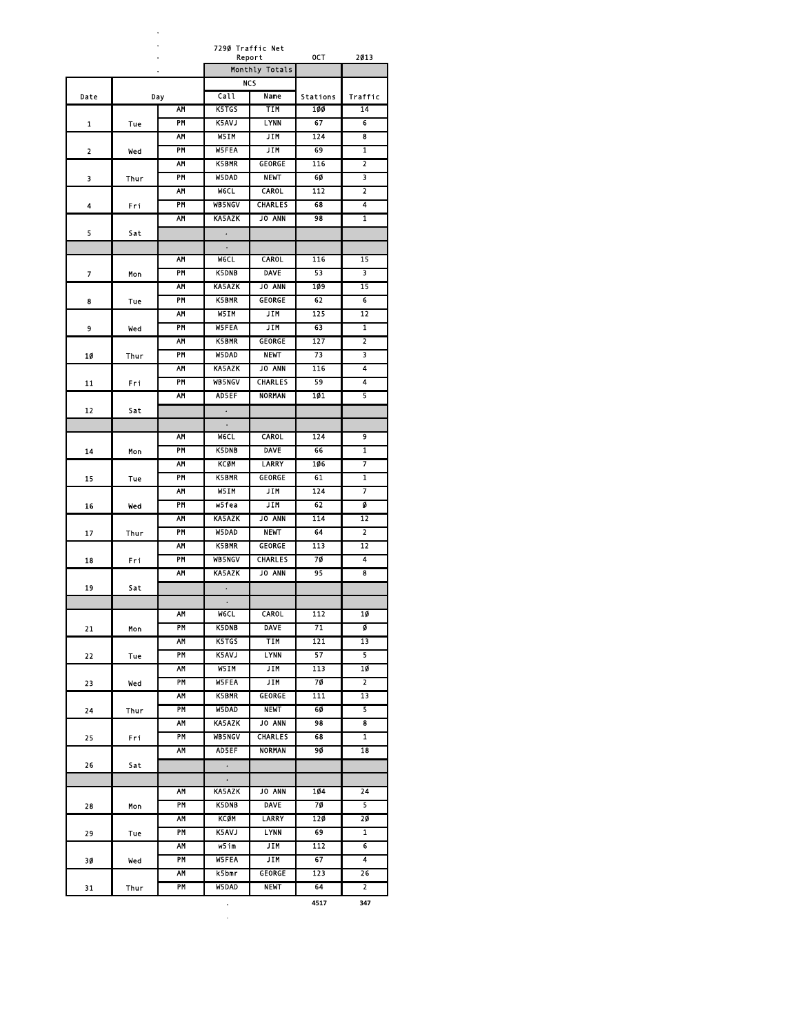|      |      |           | 729Ø Traffic Net         | Report                | OCT              | 2013                    |
|------|------|-----------|--------------------------|-----------------------|------------------|-------------------------|
|      |      |           |                          | Monthly Totals        |                  |                         |
|      |      |           |                          | <b>NCS</b>            |                  |                         |
| Date |      | Day       | Call                     | Name                  | <b>Stations</b>  | Traffic                 |
|      |      | <b>AM</b> | K5TGS                    | TIM                   | 100              | $\overline{14}$         |
| 1    | Tue  | PM        | <b>K5AVJ</b>             | <b>LYNN</b>           | 67               | 6                       |
|      |      | <b>AM</b> | W5IM                     | <b>JIM</b>            | 124              | $\overline{\mathbf{8}}$ |
| 2    | wed  | PM        | <b>W5FEA</b>             | JIM                   | 69               | 1                       |
|      |      | AM        | <b>K5BMR</b>             | GEORGE                | 116              | 2                       |
| 3    | Thur | PM        | W5DAD                    | <b>NEWT</b>           | 6Ø               | 3                       |
|      |      | AΜ        | <b>W6CL</b>              | CAROL                 | 112              | 2                       |
| 4    | Fri  | PM        | <b>WB5NGV</b>            | <b>CHARLES</b>        | 68               | 4                       |
|      |      | <b>AM</b> | <b>KA5AZK</b>            | <b>JO ANN</b>         | 98               | $\overline{\mathbf{1}}$ |
| 5    | Sat  |           | $\bullet$                |                       |                  |                         |
|      |      | ۸М        | $\bullet$<br><b>WGCL</b> | CAROL                 | 116              | 15                      |
|      |      | PM        | <b>K5DNB</b>             | <b>DAVE</b>           | 53               | 3                       |
| 7    | Mon  | AΜ        | <b>KA5AZK</b>            | JO ANN                | 109              | 15                      |
| 8    | Tue  | PM        | <b>K5BMR</b>             | <b>GEORGE</b>         | 62               | 6                       |
|      |      | <b>AM</b> | W5IM                     | <b>JIM</b>            | 125              | 12                      |
| 9    | wed  | PM        | <b>WSFEA</b>             | JIM                   | 63               | $\mathbf{1}$            |
|      |      | AΜ        | <b>K5BMR</b>             | <b>GEORGE</b>         | 127              | 2                       |
| 10   | Thur | PM        | <b>W5DAD</b>             | <b>NEWT</b>           | 73               | 3                       |
|      |      | AM        | <b>KA5AZK</b>            | JO ANN                | 116              | 4                       |
| 11   | Fri  | PM        | <b>WB5NGV</b>            | <b>CHARLES</b>        | 59               | 4                       |
|      |      | <b>AM</b> | AD5EF                    | <b>NORMAN</b>         | 101              | $\overline{\mathbf{5}}$ |
| 12   | Sat  |           | $\bullet$                |                       |                  |                         |
|      |      |           |                          |                       |                  |                         |
|      |      | AΜ        | <b>MeCL</b>              | <b>CAROL</b>          | 124              | 9                       |
| 14   | Mon  | PM        | <b>K5DNB</b>             | <b>DAVE</b>           | 66               | 1                       |
|      |      | <b>AM</b> | KCOM                     | LARRY                 | 106              | 7                       |
| 15   | Tue  | PM        | <b>K5BMR</b>             | <b>GEORGE</b>         | 61               | $\overline{1}$          |
|      |      | AΜ        | W5IM                     | JIM                   | 124              | 7                       |
| 16   | wed  | PM        | w5fea                    | JIM                   | 62               | ø                       |
|      |      | AΜ        | <b>KA5AZK</b>            | JO ANN                | 114              | 12                      |
| 17   | Thur | PM        | <b>W5DAD</b>             | <b>NEWT</b>           | 64               | 2                       |
|      |      | AΜ        | <b>K5BMR</b>             | GEORGE                | 113              | 12                      |
| 18   | Fri  | PM        | <b>WB5NGV</b>            | <b>CHARLES</b>        | 70               | 4                       |
|      |      | AΜ        | <b>KA5AZK</b>            | <b>JO ANN</b>         | 95               | 8                       |
| 19   | Sat  |           |                          |                       |                  |                         |
|      |      | ΑΜ        | <b>W6CL</b>              | CAROL                 | 112              | 10                      |
| 21   | Mon  | ۲M        | <b>K5DNB</b>             | DAVE                  | 71               |                         |
|      |      | АМ        | K5TGS                    | <b>TIM</b>            | 121              | 13                      |
| 22   | Tue  | PM        | K5AVJ                    | <b>LYNN</b>           | 57               | 5                       |
|      |      | AΜ        | W5IM                     | JIM                   | 113              | 10                      |
| 23   | Wed  | PM        | W5FEA                    | JIM                   | 70               | 2                       |
|      |      | AΜ        | K5BMR                    | <b>GEORGE</b>         | $\overline{111}$ | 13                      |
| 24   | Thur | PM        | W5DAD                    | <b>NEWT</b>           | 60               | 5                       |
|      |      | <b>AM</b> | KA5AZK                   | <b>JO ANN</b>         | 98               | $\overline{\mathbf{g}}$ |
| 25   | Fri  | PM        | <b>WB5NGV</b>            | <b>CHARLES</b>        | 68               | $\overline{1}$          |
|      |      | АΜ        | AD5EF                    | <b>NORMAN</b>         | 90               | 18                      |
| 26   | Sat  |           | $\ddot{\phantom{0}}$     |                       |                  |                         |
|      |      |           | $\bullet$                |                       |                  |                         |
|      |      | <b>AM</b> | KA5AZK                   | <b>JO ANN</b>         | 104              | 24                      |
| 28   | Mon  | PM        | <b>K5DNB</b>             | <b>DAVE</b>           | 70               | 5                       |
|      |      | <b>AM</b> | <b>KCØM</b>              | LARRY                 | 120              | 20                      |
| 29   | Tue  | PM        | K5AVJ                    | <b>LYNN</b>           | 69               | $\mathbf{1}$            |
|      |      | AΜ        | $W5$ im                  | JIM                   | 112              | 6                       |
| 30   | Wed  | PM        | W5FEA                    | JIM                   | 67               | 4                       |
|      |      | АΜ<br>PM  | k5bmr                    | GEORGE<br><b>NEWT</b> | 123<br>64        | 26<br>2                 |
| 31   | Thur |           | W5DAD                    |                       |                  |                         |

**. 4517 347**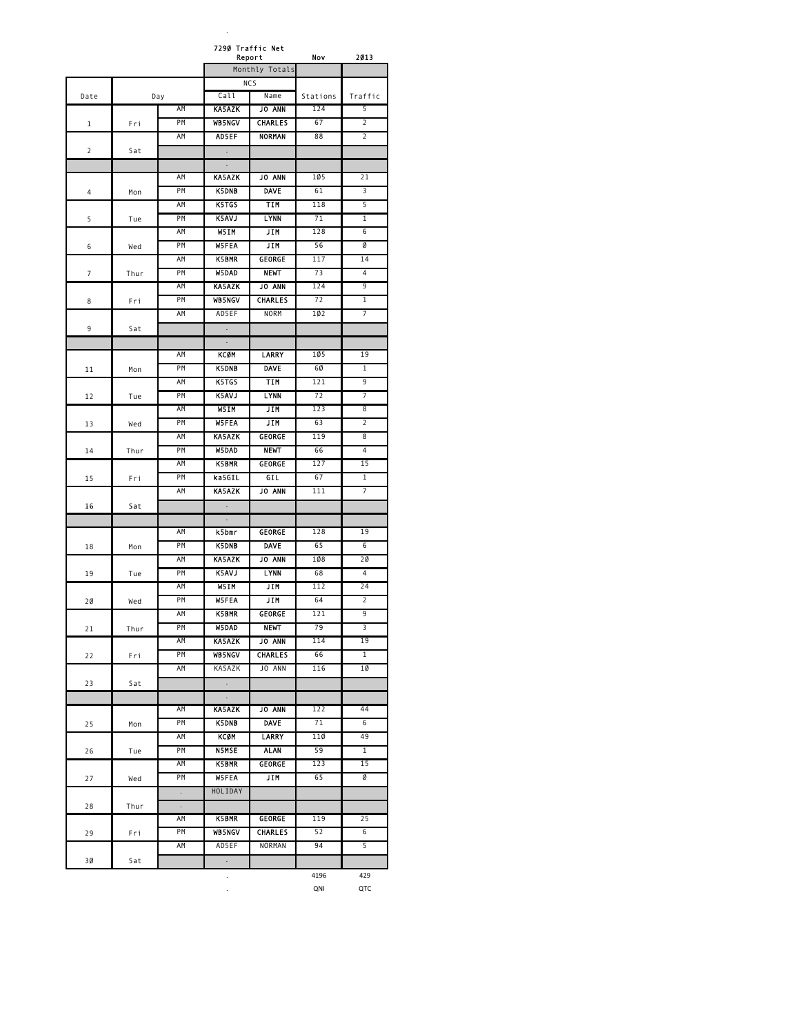|                |      |                      | 7290 Traffic Net | Report         | Nov             | 2013                    |
|----------------|------|----------------------|------------------|----------------|-----------------|-------------------------|
|                |      |                      |                  | Monthly Totals |                 |                         |
|                |      |                      |                  | <b>NCS</b>     |                 |                         |
| Date           |      | Day                  | Call             | Name           | Stations        | Traffic                 |
|                |      | AM                   | <b>KA5AZK</b>    | <b>JO ANN</b>  | 124             | 5                       |
| 1              | Fri  | <b>PM</b>            | <b>WB5NGV</b>    | <b>CHARLES</b> | 67              | $\overline{2}$          |
|                |      | ΑM                   | AD5EF            | <b>NORMAN</b>  | 88              | $\overline{2}$          |
| $\overline{2}$ | Sat  |                      | $\Box$           |                |                 |                         |
|                |      |                      | $\epsilon$       |                |                 |                         |
|                |      | AM                   | <b>KA5AZK</b>    | <b>JO ANN</b>  | 105             | 21                      |
| 4              | Mon  | PM                   | <b>K5DNB</b>     | <b>DAVE</b>    | 61              | 3                       |
|                |      | ΑM                   | <b>K5TGS</b>     | TIM            | 118             | 5                       |
| 5              | Tue  | PM                   | <b>K5AVJ</b>     | <b>LYNN</b>    | 71              | $\mathbf{1}$            |
|                |      | AM                   | W5IM             | <b>JIM</b>     | 128             | $\overline{6}$          |
| 6              | Wed  | PM                   | <b>W5FEA</b>     | JIM            | 56              | Ø                       |
|                |      | AM                   | <b>K5BMR</b>     | GEORGE         | 117             | 14                      |
|                |      | PM                   | <b>W5DAD</b>     | <b>NEWT</b>    | 73              | 4                       |
| 7              | Thur | AM                   | <b>KA5AZK</b>    | <b>JO ANN</b>  | 124             | 9                       |
|                |      |                      |                  |                | $\overline{72}$ | $\overline{1}$          |
| 8              | Fri  | PM                   | <b>WB5NGV</b>    | <b>CHARLES</b> |                 | 7                       |
|                |      | AM                   | AD5EF            | <b>NORM</b>    | 102             |                         |
| 9              | Sat  |                      | ÷,               |                |                 |                         |
|                |      |                      |                  |                |                 |                         |
|                |      | АΜ                   | КСФМ             | LARRY          | 105             | 19                      |
| 11             | Mon  | ΡM                   | <b>K5DNB</b>     | <b>DAVE</b>    | 6Ø              | 1                       |
|                |      | ΑM                   | K5TGS            | <b>TIM</b>     | 121             | $\overline{9}$          |
| 12             | Tue  | PM                   | K5AVJ            | <b>LYNN</b>    | 72              | 7                       |
|                |      | AM                   | W5IM             | JIM            | 123             | 8                       |
| 13             | Wed  | PM                   | <b>W5FEA</b>     | JIM            | 63              | 2                       |
|                |      | AM                   | <b>KA5AZK</b>    | GEORGE         | 119             | 8                       |
| 14             | Thur | PM                   | <b>W5DAD</b>     | <b>NEWT</b>    | 66              | 4                       |
|                |      | ΑM                   | <b>K5BMR</b>     | GEORGE         | 127             | 15                      |
| 15             | Fri  | PM                   | ka5GIL           | GIL.           | 67              | $\mathbf{1}$            |
|                |      | AM                   | <b>KASAZK</b>    | <b>JO ANN</b>  | 111             | $\overline{7}$          |
| 16             | Sat  |                      |                  |                |                 |                         |
|                |      |                      | ٠                |                |                 |                         |
|                |      | ΑM                   | k5bmr            | <b>GEORGE</b>  | 128             | 19                      |
| 18             | Mon  | PM                   | <b>K5DNB</b>     | <b>DAVE</b>    | 65              | 6                       |
|                |      | ΑM                   | <b>KA5AZK</b>    | <b>JO ANN</b>  | 108             | 2Ø                      |
| 19             | Tue  | <b>PM</b>            | <b>K5AVJ</b>     | <b>LYNN</b>    | 68              | $\overline{4}$          |
|                |      | AM                   | W5IM             | JIM            | 112             | 24                      |
| 2Ø             | Wed  | PM                   | <b>W5FEA</b>     | JIM            | 64              | $\overline{2}$          |
|                |      | ΑM                   | <b>K5BMR</b>     | GEORGE         | 121             | 9                       |
| 21             | Thur | PM                   | <b>W5DAD</b>     | <b>NEWT</b>    | 79              | $\overline{\mathbf{3}}$ |
|                |      | ΑM                   | <b>KA5AZK</b>    | JO ANN         | 114             | 19                      |
| 22             | Fri  | PM                   | <b>WB5NCV</b>    | <b>CHARLES</b> | 66              | $\overline{1}$          |
|                |      | AM                   | KA5AZK           | JO ANN         | 116             | 1Ø                      |
| 23             | Sat  |                      | $\sim$           |                |                 |                         |
|                |      |                      | $\cdot$          |                |                 |                         |
|                |      | AM                   | <b>KA5AZK</b>    | <b>JO ANN</b>  | 122             | 44                      |
| 25             | Mon  | PM                   | <b>K5DNB</b>     | <b>DAVE</b>    | 71              | 6                       |
|                |      | AM                   | <b>KCØM</b>      | <b>LARRY</b>   | 110             | 49                      |
|                |      | PM                   | <b>N5MSE</b>     | <b>ALAN</b>    | 59              | $\overline{1}$          |
| 26             | Tue  |                      |                  |                | 123             | 15                      |
|                |      | ΑM                   | K5BMR            | GEORGE         |                 |                         |
| 27             | Wed  | PM                   | <b>W5FEA</b>     | JIM            | 65              | Ø                       |
|                |      | $\Box$               | HOLIDAY          |                |                 |                         |
| 28             | Thur | $\ddot{\phantom{0}}$ |                  |                |                 |                         |
|                |      | ΑM                   | K5BMR            | GEORGE         | 119             | 25                      |
| 29             | Fri  | PM                   | <b>WB5NCV</b>    | <b>CHARLES</b> | 52              | $6\overline{6}$         |
|                |      | AM                   | AD5EF            | NORMAN         | 94              | 5                       |
| 3Ø             | Sat  |                      | $\cdot$          |                |                 |                         |
|                |      |                      |                  |                | 4196            | 429                     |

. QNI QTC